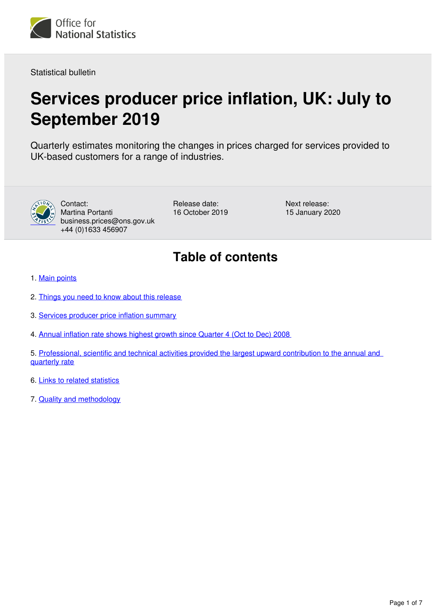<span id="page-0-0"></span>

Statistical bulletin

## **Services producer price inflation, UK: July to September 2019**

Quarterly estimates monitoring the changes in prices charged for services provided to UK-based customers for a range of industries.



Contact: Martina Portanti business.prices@ons.gov.uk +44 (0)1633 456907

Release date: 16 October 2019 Next release: 15 January 2020

## **Table of contents**

- 1. [Main points](#page-1-0)
- 2. [Things you need to know about this release](#page-1-1)
- 3. [Services producer price inflation summary](#page-1-2)
- 4. [Annual inflation rate shows highest growth since Quarter 4 \(Oct to Dec\) 2008](#page-2-0)
- 5. [Professional, scientific and technical activities provided the largest upward contribution to the annual and](#page-3-0)  [quarterly rate](#page-3-0)
- 6. [Links to related statistics](#page-5-0)
- 7. [Quality and methodology](#page-6-0)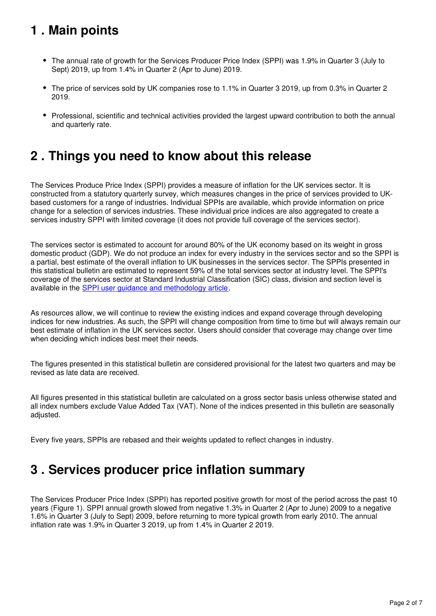## <span id="page-1-0"></span>**1 . Main points**

- The annual rate of growth for the Services Producer Price Index (SPPI) was 1.9% in Quarter 3 (July to Sept) 2019, up from 1.4% in Quarter 2 (Apr to June) 2019.
- The price of services sold by UK companies rose to 1.1% in Quarter 3 2019, up from 0.3% in Quarter 2 2019.
- Professional, scientific and technical activities provided the largest upward contribution to both the annual and quarterly rate.

## <span id="page-1-1"></span>**2 . Things you need to know about this release**

The Services Produce Price Index (SPPI) provides a measure of inflation for the UK services sector. It is constructed from a statutory quarterly survey, which measures changes in the price of services provided to UKbased customers for a range of industries. Individual SPPIs are available, which provide information on price change for a selection of services industries. These individual price indices are also aggregated to create a services industry SPPI with limited coverage (it does not provide full coverage of the services sector).

The services sector is estimated to account for around 80% of the UK economy based on its weight in gross domestic product (GDP). We do not produce an index for every industry in the services sector and so the SPPI is a partial, best estimate of the overall inflation to UK businesses in the services sector. The SPPIs presented in this statistical bulletin are estimated to represent 59% of the total services sector at industry level. The SPPI's coverage of the services sector at Standard Industrial Classification (SIC) class, division and section level is available in the [SPPI user guidance and methodology article](https://www.ons.gov.uk/economy/inflationandpriceindices/methodologies/servicesproducerpriceindexsppiuserguidanceandmethodology).

As resources allow, we will continue to review the existing indices and expand coverage through developing indices for new industries. As such, the SPPI will change composition from time to time but will always remain our best estimate of inflation in the UK services sector. Users should consider that coverage may change over time when deciding which indices best meet their needs.

The figures presented in this statistical bulletin are considered provisional for the latest two quarters and may be revised as late data are received.

All figures presented in this statistical bulletin are calculated on a gross sector basis unless otherwise stated and all index numbers exclude Value Added Tax (VAT). None of the indices presented in this bulletin are seasonally adiusted.

Every five years, SPPIs are rebased and their weights updated to reflect changes in industry.

## <span id="page-1-2"></span>**3 . Services producer price inflation summary**

The Services Producer Price Index (SPPI) has reported positive growth for most of the period across the past 10 years (Figure 1). SPPI annual growth slowed from negative 1.3% in Quarter 2 (Apr to June) 2009 to a negative 1.6% in Quarter 3 (July to Sept) 2009, before returning to more typical growth from early 2010. The annual inflation rate was 1.9% in Quarter 3 2019, up from 1.4% in Quarter 2 2019.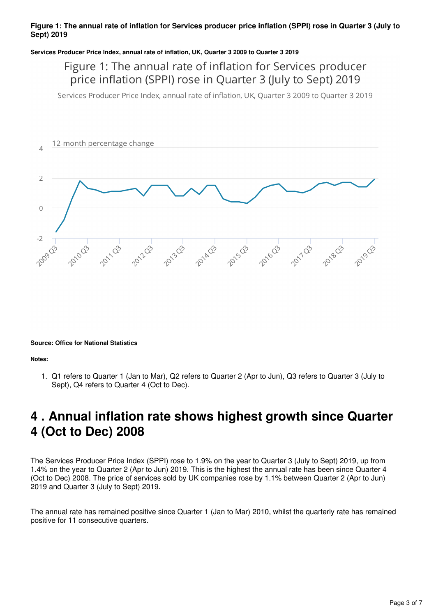#### **Figure 1: The annual rate of inflation for Services producer price inflation (SPPI) rose in Quarter 3 (July to Sept) 2019**

#### **Services Producer Price Index, annual rate of inflation, UK, Quarter 3 2009 to Quarter 3 2019**

### Figure 1: The annual rate of inflation for Services producer price inflation (SPPI) rose in Quarter 3 (July to Sept) 2019

Services Producer Price Index, annual rate of inflation, UK, Quarter 3 2009 to Quarter 3 2019



#### **Source: Office for National Statistics**

**Notes:**

1. Q1 refers to Quarter 1 (Jan to Mar), Q2 refers to Quarter 2 (Apr to Jun), Q3 refers to Quarter 3 (July to Sept), Q4 refers to Quarter 4 (Oct to Dec).

## <span id="page-2-0"></span>**4 . Annual inflation rate shows highest growth since Quarter 4 (Oct to Dec) 2008**

The Services Producer Price Index (SPPI) rose to 1.9% on the year to Quarter 3 (July to Sept) 2019, up from 1.4% on the year to Quarter 2 (Apr to Jun) 2019. This is the highest the annual rate has been since Quarter 4 (Oct to Dec) 2008. The price of services sold by UK companies rose by 1.1% between Quarter 2 (Apr to Jun) 2019 and Quarter 3 (July to Sept) 2019.

The annual rate has remained positive since Quarter 1 (Jan to Mar) 2010, whilst the quarterly rate has remained positive for 11 consecutive quarters.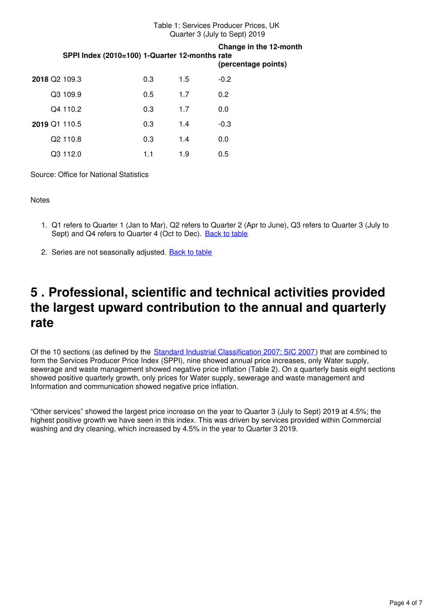#### Table 1: Services Producer Prices, UK Quarter 3 (July to Sept) 2019

|  | SPPI Index (2010=100) 1-Quarter 12-months rate |     |     | Change in the 12-month<br>(percentage points) |
|--|------------------------------------------------|-----|-----|-----------------------------------------------|
|  | <b>2018 Q2 109.3</b>                           | 0.3 | 1.5 | $-0.2$                                        |
|  | Q3 109.9                                       | 0.5 | 1.7 | 0.2                                           |
|  | Q4 110.2                                       | 0.3 | 1.7 | 0.0                                           |
|  | 2019 Q1 110.5                                  | 0.3 | 1.4 | $-0.3$                                        |
|  | Q2 110.8                                       | 0.3 | 1.4 | 0.0                                           |
|  | Q3 112.0                                       | 1.1 | 1.9 | 0.5                                           |

Source: Office for National Statistics

**Notes** 

- 1. Q1 refers to Quarter 1 (Jan to Mar), Q2 refers to Quarter 2 (Apr to June), Q3 refers to Quarter 3 (July to Sept) and Q4 refers to Quarter 4 (Oct to Dec). [Back to table](#page-0-0)
- 2. Series are not seasonally adjusted. **[Back to table](#page-0-0)**

## <span id="page-3-0"></span>**5 . Professional, scientific and technical activities provided the largest upward contribution to the annual and quarterly rate**

Of the 10 sections (as defined by the [Standard Industrial Classification 2007: SIC 2007\)](https://www.ons.gov.uk/methodology/classificationsandstandards/ukstandardindustrialclassificationofeconomicactivities/uksic2007) that are combined to form the Services Producer Price Index (SPPI), nine showed annual price increases, only Water supply, sewerage and waste management showed negative price inflation (Table 2). On a quarterly basis eight sections showed positive quarterly growth, only prices for Water supply, sewerage and waste management and Information and communication showed negative price inflation.

"Other services" showed the largest price increase on the year to Quarter 3 (July to Sept) 2019 at 4.5%; the highest positive growth we have seen in this index. This was driven by services provided within Commercial washing and dry cleaning, which increased by 4.5% in the year to Quarter 3 2019.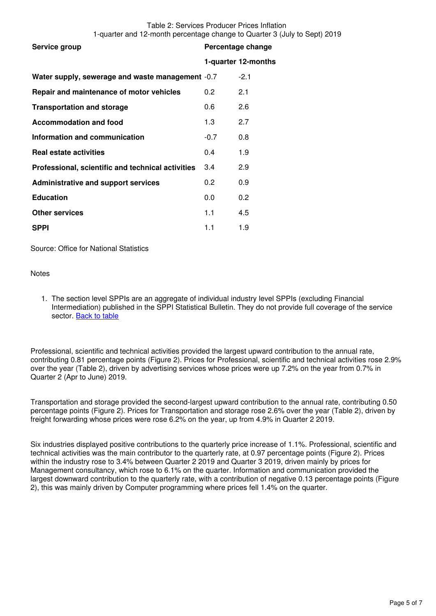|                                                   |        | 1-quarter 12-months |
|---------------------------------------------------|--------|---------------------|
| Water supply, sewerage and waste management -0.7  |        | $-2.1$              |
| Repair and maintenance of motor vehicles          | 0.2    | 2.1                 |
| <b>Transportation and storage</b>                 | 0.6    | 2.6                 |
| <b>Accommodation and food</b>                     | 1.3    | 2.7                 |
| Information and communication                     | $-0.7$ | 0.8                 |
| <b>Real estate activities</b>                     | 0.4    | 1.9                 |
| Professional, scientific and technical activities | 3.4    | 2.9                 |
| <b>Administrative and support services</b>        | 0.2    | 0.9                 |
| <b>Education</b>                                  | 0.0    | 0.2                 |
| <b>Other services</b>                             | 1.1    | 4.5                 |
| <b>SPPI</b>                                       | 1.1    | 1.9                 |

Source: Office for National Statistics

#### **Notes**

1. The section level SPPIs are an aggregate of individual industry level SPPIs (excluding Financial Intermediation) published in the SPPI Statistical Bulletin. They do not provide full coverage of the service sector. [Back to table](#page-0-0)

Professional, scientific and technical activities provided the largest upward contribution to the annual rate, contributing 0.81 percentage points (Figure 2). Prices for Professional, scientific and technical activities rose 2.9% over the year (Table 2), driven by advertising services whose prices were up 7.2% on the year from 0.7% in Quarter 2 (Apr to June) 2019.

Transportation and storage provided the second-largest upward contribution to the annual rate, contributing 0.50 percentage points (Figure 2). Prices for Transportation and storage rose 2.6% over the year (Table 2), driven by freight forwarding whose prices were rose 6.2% on the year, up from 4.9% in Quarter 2 2019.

Six industries displayed positive contributions to the quarterly price increase of 1.1%. Professional, scientific and technical activities was the main contributor to the quarterly rate, at 0.97 percentage points (Figure 2). Prices within the industry rose to 3.4% between Quarter 2 2019 and Quarter 3 2019, driven mainly by prices for Management consultancy, which rose to 6.1% on the quarter. Information and communication provided the largest downward contribution to the quarterly rate, with a contribution of negative 0.13 percentage points (Figure 2), this was mainly driven by Computer programming where prices fell 1.4% on the quarter.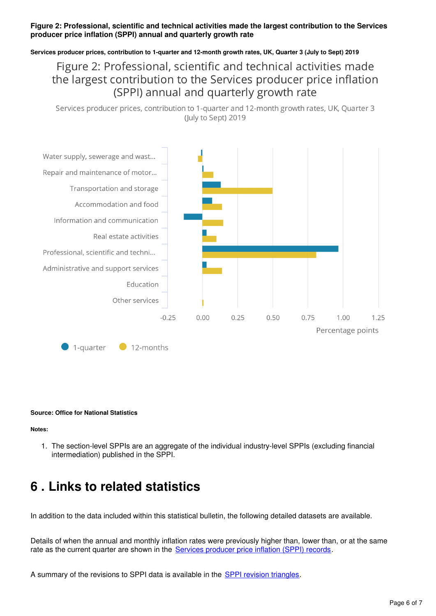### **Figure 2: Professional, scientific and technical activities made the largest contribution to the Services producer price inflation (SPPI) annual and quarterly growth rate**

#### **Services producer prices, contribution to 1-quarter and 12-month growth rates, UK, Quarter 3 (July to Sept) 2019**

### Figure 2: Professional, scientific and technical activities made the largest contribution to the Services producer price inflation (SPPI) annual and quarterly growth rate

Services producer prices, contribution to 1-quarter and 12-month growth rates, UK, Quarter 3 (July to Sept) 2019



#### **Source: Office for National Statistics**

#### **Notes:**

1. The section-level SPPIs are an aggregate of the individual industry-level SPPIs (excluding financial intermediation) published in the SPPI.

### <span id="page-5-0"></span>**6 . Links to related statistics**

In addition to the data included within this statistical bulletin, the following detailed datasets are available.

Details of when the annual and monthly inflation rates were previously higher than, lower than, or at the same rate as the current quarter are shown in the **Services producer price inflation (SPPI) records**.

A summary of the revisions to SPPI data is available in the **SPPI revision triangles**[.](https://www.ons.gov.uk/economy/inflationandpriceindices/datasets/servicesproducerpriceindexsppirevisionstriangle)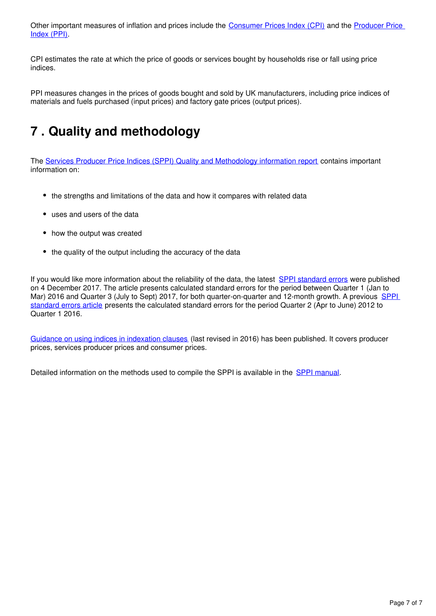Other important measures of inflation and prices include the [Consumer Prices Index \(CPI\)](https://www.ons.gov.uk/economy/inflationandpriceindices/bulletins/consumerpriceinflation/latest) and the Producer Price [Index \(PPI\)](https://www.ons.gov.uk/economy/inflationandpriceindices/bulletins/producerpriceinflation/latest).

CPI estimates the rate at which the price of goods or services bought by households rise or fall using price indices.

PPI measures changes in the prices of goods bought and sold by UK manufacturers, including price indices of materials and fuels purchased (input prices) and factory gate prices (output prices).

## <span id="page-6-0"></span>**7 . Quality and methodology**

The [Services Producer Price Indices \(SPPI\) Quality and Methodology information report](https://www.ons.gov.uk/economy/inflationandpriceindices/qmis/servicesproducerpriceindicesqmi) contains important information on:

- the strengths and limitations of the data and how it compares with related data
- uses and users of the data
- how the output was created
- the quality of the output including the accuracy of the data

If you would like more information about the reliability of the data, the latest [SPPI standard errors](https://www.ons.gov.uk/economy/inflationandpriceindices/articles/ukservicesproducerpriceindexsppistandarderrors/2016to2017) were published on 4 December 2017. The article presents calculated standard errors for the period between Quarter 1 (Jan to Mar) 2016 and Quarter 3 (July to Sept) 2017, for both quarter-on-quarter and 12-month growth. A previous SPPI [standard errors article](https://www.ons.gov.uk/releases/ukservicesproducerpriceindexsppi2012to2016) presents the calculated standard errors for the period Quarter 2 (Apr to June) 2012 to Quarter 1 2016.

[Guidance on using indices in indexation clauses](https://www.ons.gov.uk/economy/inflationandpriceindices/methodologies/pricesuserguidancemethodologyanddevelopments) (last revised in 2016) has been published. It covers producer prices, services producer prices and consumer prices.

Detailed information on the methods used to compile the SPPI is available in the SPPI manual.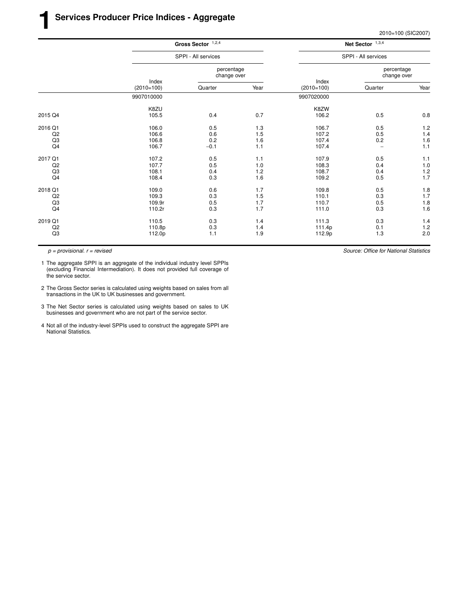|                |                       | Gross Sector $1,2,4$      |      | Net Sector $1,3,4$    |                           |                |  |
|----------------|-----------------------|---------------------------|------|-----------------------|---------------------------|----------------|--|
|                |                       | SPPI - All services       |      |                       | SPPI - All services       |                |  |
|                |                       | percentage<br>change over |      |                       | percentage<br>change over |                |  |
|                | Index<br>$(2010=100)$ | Quarter                   | Year | Index<br>$(2010=100)$ | Quarter                   | Year           |  |
|                | 9907010000            |                           |      | 9907020000            |                           |                |  |
|                | K8ZU                  |                           |      | K8ZW                  |                           |                |  |
| 2015 Q4        | 105.5                 | 0.4                       | 0.7  | 106.2                 | 0.5                       | 0.8            |  |
| 2016 Q1        | 106.0                 | 0.5                       | 1.3  | 106.7                 | 0.5                       | 1.2            |  |
| Q2             | 106.6                 | 0.6                       | 1.5  | 107.2                 | 0.5                       | 1.4            |  |
| Q3             | 106.8                 | 0.2                       | 1.6  | 107.4                 | 0.2                       | $1.6$          |  |
| Q <sub>4</sub> | 106.7                 | $-0.1$                    | 1.1  | 107.4                 | $\overline{\phantom{0}}$  | 1.1            |  |
| 2017 Q1        | 107.2                 | 0.5                       | 1.1  | 107.9                 | 0.5                       | 1.1            |  |
| Q2             | 107.7                 | 0.5                       | 1.0  | 108.3                 | 0.4                       | 1.0            |  |
| Q3             | 108.1                 | 0.4                       | 1.2  | 108.7                 | 0.4                       | $1.2$<br>$1.7$ |  |
| Q <sub>4</sub> | 108.4                 | 0.3                       | 1.6  | 109.2                 | 0.5                       |                |  |
| 2018 Q1        | 109.0                 | 0.6                       | 1.7  | 109.8                 | 0.5                       | 1.8            |  |
| Q <sub>2</sub> | 109.3                 | 0.3                       | 1.5  | 110.1                 | 0.3                       | $1.7$          |  |
| Q <sub>3</sub> | 109.9r                | 0.5                       | 1.7  | 110.7                 | 0.5                       | 1.8            |  |
| Q4             | 110.2r                | 0.3                       | 1.7  | 111.0                 | 0.3                       | 1.6            |  |
| 2019 Q1        | 110.5                 | 0.3                       | 1.4  | 111.3                 | 0.3                       | 1.4            |  |
| Q2             | 110.8p                | 0.3                       | 1.4  | 111.4p                | 0.1                       | 1.2            |  |
| Q3             | 112.0p                | 1.1                       | 1.9  | 112.9p                | 1.3                       | 2.0            |  |
|                |                       |                           |      |                       |                           |                |  |

1 The aggregate SPPI is an aggregate of the individual industry level SPPIs (excluding Financial Intermediation). It does not provided full coverage of the service sector.

- 2 The Gross Sector series is calculated using weights based on sales from all transactions in the UK to UK businesses and government.
- 3 The Net Sector series is calculated using weights based on sales to UK businesses and government who are not part of the service sector.
- 4 Not all of the industry-level SPPIs used to construct the aggregate SPPI are National Statistics.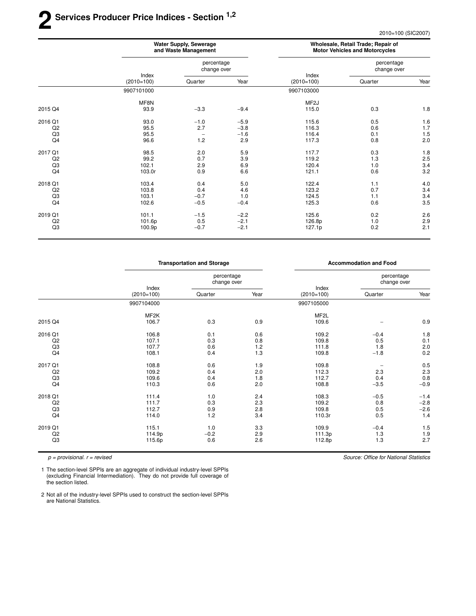## **2 Ser vices Producer Price Indices - Section 1,2**

2010=100 (SIC2007)

|                |                       | <b>Water Supply, Sewerage</b><br>and Waste Management |                  | Wholesale, Retail Trade; Repair of<br><b>Motor Vehicles and Motorcycles</b> |                           |                   |
|----------------|-----------------------|-------------------------------------------------------|------------------|-----------------------------------------------------------------------------|---------------------------|-------------------|
|                |                       | percentage<br>change over                             |                  |                                                                             | percentage<br>change over |                   |
|                | Index<br>$(2010=100)$ | Quarter                                               | Year             | Index<br>$(2010=100)$                                                       | Quarter                   | Year              |
|                | 9907101000            |                                                       |                  | 9907103000                                                                  |                           |                   |
| 2015 Q4        | MF8N<br>93.9          | $-3.3$                                                | $-9.4$           | MF <sub>2</sub> J<br>115.0                                                  | 0.3                       | 1.8               |
| 2016 Q1        | 93.0                  |                                                       |                  | 115.6                                                                       |                           |                   |
| Q2             | 95.5                  | $-1.0$<br>2.7                                         | $-5.9$<br>$-3.8$ | 116.3                                                                       | 0.5<br>0.6                | 1.6<br>1.7        |
| Q3             | 95.5                  | $\overline{\phantom{0}}$                              | $-1.6$           | 116.4                                                                       | 0.1                       | 1.5               |
| Q4             | 96.6                  | 1.2                                                   | 2.9              | 117.3                                                                       | 0.8                       | 2.0               |
| 2017 Q1        | 98.5                  | 2.0                                                   | 5.9              | 117.7                                                                       | 0.3                       | 1.8               |
| Q2             | 99.2                  | 0.7                                                   | 3.9              | 119.2                                                                       | 1.3                       |                   |
| Q3             | 102.1                 | 2.9                                                   | 6.9              | 120.4                                                                       | 1.0                       | $\frac{2.5}{3.4}$ |
| Q4             | 103.0r                | 0.9                                                   | 6.6              | 121.1                                                                       | 0.6                       | 3.2               |
| 2018 Q1        | 103.4                 | 0.4                                                   | 5.0              | 122.4                                                                       | 1.1                       | 4.0               |
| Q <sub>2</sub> | 103.8                 | 0.4                                                   | 4.6              | 123.2                                                                       | 0.7                       | 3.4               |
| Q3             | 103.1                 | $-0.7$                                                | 1.0              | 124.5                                                                       | 1.1                       | 3.4               |
| Q4             | 102.6                 | $-0.5$                                                | $-0.4$           | 125.3                                                                       | 0.6                       | 3.5               |
| 2019 Q1        | 101.1                 | $-1.5$                                                | $-2.2$           | 125.6                                                                       | 0.2                       | 2.6               |
| Q <sub>2</sub> | 101.6p                | 0.5                                                   | $-2.1$           | 126.8p                                                                      | 1.0                       | 2.9               |
| Q3             | 100.9p                | $-0.7$                                                | $-2.1$           | 127.1p                                                                      | 0.2                       | 2.1               |

|                |                       | <b>Transportation and Storage</b> |      |                       | <b>Accommodation and Food</b> |        |
|----------------|-----------------------|-----------------------------------|------|-----------------------|-------------------------------|--------|
|                | Index<br>$(2010=100)$ | percentage<br>change over         |      |                       | percentage<br>change over     |        |
|                |                       | Quarter                           | Year | Index<br>$(2010=100)$ | Quarter                       | Year   |
|                | 9907104000            |                                   |      | 9907105000            |                               |        |
|                | MF2K                  |                                   |      | MF <sub>2</sub> L     |                               |        |
| 2015 Q4        | 106.7                 | 0.3                               | 0.9  | 109.6                 |                               | 0.9    |
| 2016 Q1        | 106.8                 | 0.1                               | 0.6  | 109.2                 | $-0.4$                        | 1.8    |
| Q <sub>2</sub> | 107.1                 | 0.3                               | 0.8  | 109.8                 | 0.5                           | 0.1    |
| Q3             | 107.7                 | 0.6                               | 1.2  | 111.8                 | 1.8                           | 2.0    |
| Q4             | 108.1                 | 0.4                               | 1.3  | 109.8                 | $-1.8$                        | 0.2    |
| 2017 Q1        | 108.8                 | 0.6                               | 1.9  | 109.8                 |                               | 0.5    |
| Q <sub>2</sub> | 109.2                 | 0.4                               | 2.0  | 112.3                 | 2.3                           | 2.3    |
| Q3             | 109.6                 | 0.4                               | 1.8  | 112.7                 | 0.4                           | 0.8    |
| Q4             | 110.3                 | 0.6                               | 2.0  | 108.8                 | $-3.5$                        | $-0.9$ |
| 2018 Q1        | 111.4                 | 1.0                               | 2.4  | 108.3                 | $-0.5$                        | $-1.4$ |
| Q <sub>2</sub> | 111.7                 | 0.3                               | 2.3  | 109.2                 | 0.8                           | $-2.8$ |
| Q3             | 112.7                 | 0.9                               | 2.8  | 109.8                 | 0.5                           | $-2.6$ |
| Q4             | 114.0                 | 1.2                               | 3.4  | 110.3r                | 0.5                           | 1.4    |
| 2019 Q1        | 115.1                 | 1.0                               | 3.3  | 109.9                 | $-0.4$                        | 1.5    |
| Q <sub>2</sub> | 114.9p                | $-0.2$                            | 2.9  | 111.3p                | 1.3                           | 1.9    |
| Q3             | 115.6p                | 0.6                               | 2.6  | 112.8p                | 1.3                           | 2.7    |

 $p =$  provisional.  $r =$  revised

1 The section-level SPPIs are an aggregate of individual industry-level SPPIs (excluding Financial Intermediation). They do not provide full coverage of the section listed.

2 Not all of the industry-level SPPIs used to construct the section-level SPPIs are National Statistics.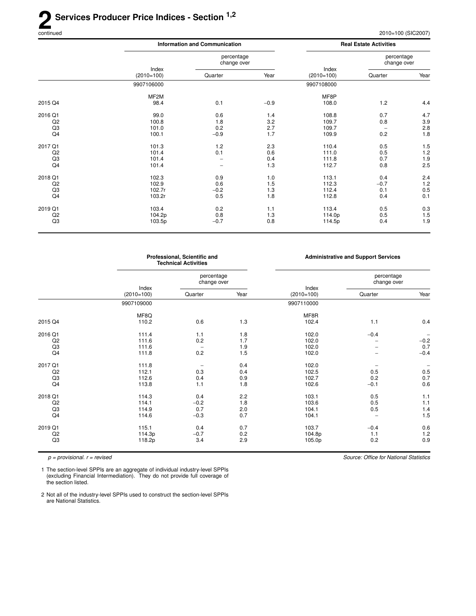### 2<sup>Se</sup> **Ser vices Producer Price Indices - Section 1,2**

Source: Office for National Statistics

|                |                       | <b>Information and Communication</b> |        |                       | <b>Real Estate Activities</b> |                   |
|----------------|-----------------------|--------------------------------------|--------|-----------------------|-------------------------------|-------------------|
|                |                       | percentage<br>change over            |        |                       | percentage<br>change over     |                   |
|                | Index<br>$(2010=100)$ | Quarter                              | Year   | Index<br>$(2010=100)$ | Quarter                       | Year              |
|                | 9907106000            |                                      |        | 9907108000            |                               |                   |
|                | MF <sub>2</sub> M     |                                      |        | MF8P                  |                               |                   |
| 2015 Q4        | 98.4                  | 0.1                                  | $-0.9$ | 108.0                 | 1.2                           | 4.4               |
| 2016 Q1        | 99.0                  | 0.6                                  | 1.4    | 108.8                 | 0.7                           | 4.7               |
| Q2             | 100.8                 | 1.8                                  | 3.2    | 109.7                 | 0.8                           | $3.9\,$           |
| Q3             | 101.0                 | 0.2                                  | 2.7    | 109.7                 | $\qquad \qquad -$             | $2.8\,$           |
| Q4             | 100.1                 | $-0.9$                               | 1.7    | 109.9                 | 0.2                           | 1.8               |
| 2017 Q1        | 101.3                 | 1.2                                  | 2.3    | 110.4                 | 0.5                           | 1.5               |
| Q2             | 101.4                 | 0.1                                  | 0.6    | 111.0                 | 0.5                           | 1.2               |
| Q3             | 101.4                 |                                      | 0.4    | 111.8                 | 0.7                           |                   |
| Q4             | 101.4                 | $\overline{\phantom{0}}$             | 1.3    | 112.7                 | 0.8                           | $\frac{1.9}{2.5}$ |
| 2018 Q1        | 102.3                 | 0.9                                  | 1.0    | 113.1                 | 0.4                           | 2.4               |
| Q2             | 102.9                 | 0.6                                  | 1.5    | 112.3                 | $-0.7$                        | 1.2               |
| Q3             | 102.7r                | $-0.2$                               | 1.3    | 112.4                 | 0.1                           | 0.5               |
| Q <sub>4</sub> | 103.2r                | 0.5                                  | 1.8    | 112.8                 | 0.4                           | 0.1               |
| 2019 Q1        | 103.4                 | 0.2                                  | 1.1    | 113.4                 | 0.5                           | 0.3               |
| Q <sub>2</sub> | 104.2p                | 0.8                                  | 1.3    | 114.0p                | 0.5                           | 1.5               |
| Q3             | 103.5p                | $-0.7$                               | 0.8    | 114.5p                | 0.4                           | 1.9               |
|                |                       |                                      |        |                       |                               |                   |

|                |                       | Professional, Scientific and<br><b>Technical Activities</b> |      | <b>Administrative and Support Services</b> |                           |                          |
|----------------|-----------------------|-------------------------------------------------------------|------|--------------------------------------------|---------------------------|--------------------------|
|                |                       | percentage<br>change over                                   |      |                                            | percentage<br>change over |                          |
|                | Index<br>$(2010=100)$ | Quarter                                                     | Year | Index<br>$(2010=100)$                      | Quarter                   | Year                     |
|                | 9907109000            |                                                             |      | 9907110000                                 |                           |                          |
|                | MF8Q                  |                                                             |      | MF8R                                       |                           |                          |
| 2015 Q4        | 110.2                 | 0.6                                                         | 1.3  | 102.4                                      | 1.1                       | 0.4                      |
| 2016 Q1        | 111.4                 | 1.1                                                         | 1.8  | 102.0                                      | $-0.4$                    | $\overline{\phantom{m}}$ |
| Q2             | 111.6                 | 0.2                                                         | 1.7  | 102.0                                      | $\overline{\phantom{0}}$  | $-0.2$                   |
| Q <sub>3</sub> | 111.6                 |                                                             | 1.9  | 102.0                                      |                           | 0.7                      |
| Q4             | 111.8                 | 0.2                                                         | 1.5  | 102.0                                      |                           | $-0.4$                   |
| 2017 Q1        | 111.8                 |                                                             | 0.4  | 102.0                                      |                           |                          |
| Q2             | 112.1                 | 0.3                                                         | 0.4  | 102.5                                      | 0.5                       | 0.5                      |
| Q <sub>3</sub> | 112.6                 | 0.4                                                         | 0.9  | 102.7                                      | 0.2                       | 0.7                      |
| Q4             | 113.8                 | 1.1                                                         | 1.8  | 102.6                                      | $-0.1$                    | 0.6                      |
| 2018 Q1        | 114.3                 | 0.4                                                         | 2.2  | 103.1                                      | 0.5                       | 1.1                      |
| Q2             | 114.1                 | $-0.2$                                                      | 1.8  | 103.6                                      | 0.5                       | 1.1                      |
| Q <sub>3</sub> | 114.9                 | 0.7                                                         | 2.0  | 104.1                                      | 0.5                       | 1.4                      |
| Q4             | 114.6                 | $-0.3$                                                      | 0.7  | 104.1                                      | $\overline{\phantom{0}}$  | 1.5                      |
| 2019 Q1        | 115.1                 | 0.4                                                         | 0.7  | 103.7                                      | $-0.4$                    | 0.6                      |
| Q2             | 114.3p                | $-0.7$                                                      | 0.2  | 104.8p                                     | 1.1                       | 1.2                      |
| Q <sub>3</sub> | 118.2p                | 3.4                                                         | 2.9  | 105.0p                                     | 0.2                       | 0.9                      |

 $p =$  provisional.  $r =$  revised

1 The section-level SPPIs are an aggregate of individual industry-level SPPIs (excluding Financial Intermediation). They do not provide full coverage of the section listed.

2 Not all of the industry-level SPPIs used to construct the section-level SPPIs are National Statistics.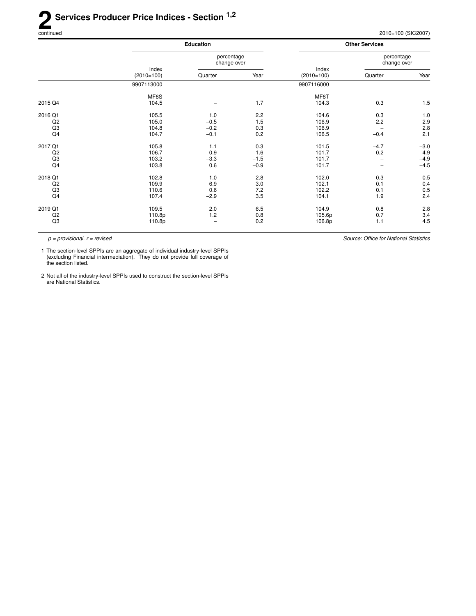Source: Office for National Statistics

|                                       |                                  | <b>Education</b>                  |                                | <b>Other Services</b>            |                                    |                                      |
|---------------------------------------|----------------------------------|-----------------------------------|--------------------------------|----------------------------------|------------------------------------|--------------------------------------|
|                                       | Index<br>$(2010=100)$            | percentage<br>change over         |                                |                                  | percentage<br>change over          |                                      |
|                                       |                                  | Quarter                           | Year                           | Index<br>$(2010=100)$            | Quarter                            | Year                                 |
|                                       | 9907113000                       |                                   |                                | 9907116000                       |                                    |                                      |
| 2015 Q4                               | MF8S<br>104.5                    |                                   | 1.7                            | MF8T<br>104.3                    | 0.3                                | 1.5                                  |
| 2016 Q1<br>Q2<br>Q <sub>3</sub><br>Q4 | 105.5<br>105.0<br>104.8<br>104.7 | 1.0<br>$-0.5$<br>$-0.2$<br>$-0.1$ | 2.2<br>1.5<br>0.3<br>0.2       | 104.6<br>106.9<br>106.9<br>106.5 | 0.3<br>2.2<br>$-0.4$               | 1.0<br>2.9<br>2.8<br>2.1             |
| 2017 Q1<br>Q2<br>Q <sub>3</sub><br>Q4 | 105.8<br>106.7<br>103.2<br>103.8 | 1.1<br>0.9<br>$-3.3$<br>0.6       | 0.3<br>1.6<br>$-1.5$<br>$-0.9$ | 101.5<br>101.7<br>101.7<br>101.7 | $-4.7$<br>0.2<br>$\qquad \qquad -$ | $-3.0$<br>$-4.9$<br>$-4.9$<br>$-4.5$ |
| 2018 Q1<br>Q2<br>Q <sub>3</sub><br>Q4 | 102.8<br>109.9<br>110.6<br>107.4 | $-1.0$<br>6.9<br>0.6<br>$-2.9$    | $-2.8$<br>3.0<br>7.2<br>3.5    | 102.0<br>102.1<br>102.2<br>104.1 | 0.3<br>0.1<br>0.1<br>1.9           | 0.5<br>0.4<br>0.5<br>2.4             |
| 2019 Q1<br>Q2<br>Q <sub>3</sub>       | 109.5<br>110.8p<br>110.8p        | 2.0<br>1.2                        | 6.5<br>0.8<br>0.2              | 104.9<br>105.6p<br>106.8p        | 0.8<br>0.7<br>1.1                  | 2.8<br>3.4<br>4.5                    |

 $p =$  provisional.  $r =$  revised

1 The section-level SPPIs are an aggregate of individual industry-level SPPIs (excluding Financial intermediation). They do not provide full coverage of the section listed.

2 Not all of the industry-level SPPIs used to construct the section-level SPPIs are National Statistics.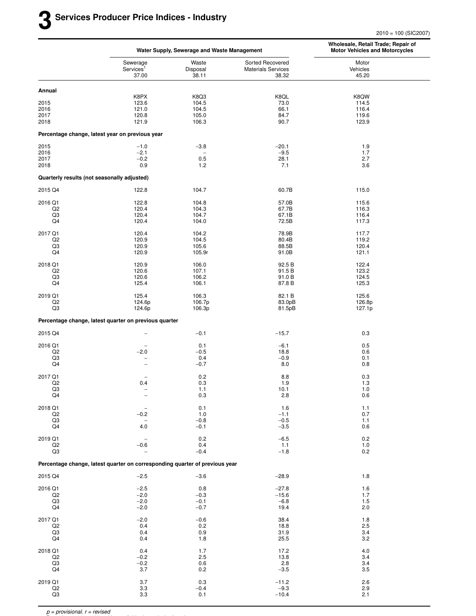|                           |                                                                             | Water Supply, Sewerage and Waste Management |                                                        | Wholesale, Retail Trade; Repair of<br><b>Motor Vehicles and Motorcycles</b> |  |
|---------------------------|-----------------------------------------------------------------------------|---------------------------------------------|--------------------------------------------------------|-----------------------------------------------------------------------------|--|
|                           | Sewerage<br>Services <sup>1</sup><br>37.00                                  | Waste<br>Disposal<br>38.11                  | Sorted Recovered<br><b>Materials Services</b><br>38.32 | Motor<br>Vehicles<br>45.20                                                  |  |
| Annual                    |                                                                             |                                             |                                                        |                                                                             |  |
|                           | K8PX                                                                        | K8Q3                                        | K8QL                                                   | K8QW                                                                        |  |
| 2015<br>2016              | 123.6<br>121.0                                                              | 104.5<br>104.5                              | 73.0<br>66.1                                           | 114.5<br>116.4                                                              |  |
| 2017                      | 120.8                                                                       | 105.0                                       | 84.7                                                   | 119.6                                                                       |  |
| 2018                      | 121.9                                                                       | 106.3                                       | 90.7                                                   | 123.9                                                                       |  |
|                           | Percentage change, latest year on previous year                             |                                             |                                                        |                                                                             |  |
| 2015                      | $-1.0$                                                                      | $-3.8$                                      | $-20.1$                                                | 1.9                                                                         |  |
| 2016                      | $-2.1$                                                                      |                                             | $-9.5$                                                 | 1.7                                                                         |  |
| 2017<br>2018              | $-0.2$<br>0.9                                                               | 0.5<br>1.2                                  | 28.1<br>7.1                                            | 2.7<br>3.6                                                                  |  |
|                           | Quarterly results (not seasonally adjusted)                                 |                                             |                                                        |                                                                             |  |
| 2015 Q4                   | 122.8                                                                       | 104.7                                       | 60.7B                                                  | 115.0                                                                       |  |
| 2016 Q1                   | 122.8                                                                       | 104.8                                       | 57.0B                                                  | 115.6                                                                       |  |
| Q <sub>2</sub>            | 120.4                                                                       | 104.3                                       | 67.7B                                                  | 116.3                                                                       |  |
| Q3                        | 120.4                                                                       | 104.7                                       | 67.1B                                                  | 116.4                                                                       |  |
| Q4                        | 120.4                                                                       | 104.0                                       | 72.5B                                                  | 117.3                                                                       |  |
| 2017 Q1                   | 120.4                                                                       | 104.2                                       | 78.9B                                                  | 117.7                                                                       |  |
| Q2                        | 120.9                                                                       | 104.5                                       | 80.4B                                                  | 119.2                                                                       |  |
| Q3<br>Q4                  | 120.9<br>120.9                                                              | 105.6<br>105.9r                             | 88.5B<br>91.0B                                         | 120.4<br>121.1                                                              |  |
| 2018 Q1                   | 120.9                                                                       | 106.0                                       | 92.5 B                                                 | 122.4                                                                       |  |
| Q2                        | 120.6                                                                       | 107.1                                       | 91.5 B                                                 | 123.2                                                                       |  |
| Q3                        | 120.6                                                                       | 106.2                                       | 91.0 B                                                 | 124.5                                                                       |  |
| Q4                        | 125.4                                                                       | 106.1                                       | 87.8 B                                                 | 125.3                                                                       |  |
| 2019 Q1<br>Q <sub>2</sub> | 125.4<br>124.6p                                                             | 106.3<br>106.7p                             | 82.1 B<br>83.0pB                                       | 125.6<br>126.8p                                                             |  |
| Q3                        | 124.6p                                                                      | 106.3p                                      | 81.5pB                                                 | 127.1p                                                                      |  |
|                           | Percentage change, latest quarter on previous quarter                       |                                             |                                                        |                                                                             |  |
| 2015 Q4                   | $\overbrace{\phantom{1232211}}$                                             | $-0.1$                                      | $-15.7$                                                | 0.3                                                                         |  |
| 2016 Q1                   |                                                                             | 0.1                                         | $-6.1$                                                 | 0.5                                                                         |  |
| Q2                        | $-2.0$                                                                      | $-0.5$                                      | 18.8                                                   | 0.6                                                                         |  |
| Q3<br>Q4                  | ۰                                                                           | 0.4<br>$-0.7$                               | $-0.9$<br>8.0                                          | 0.1<br>0.8                                                                  |  |
| 2017 Q1                   |                                                                             | 0.2                                         | 8.8                                                    | 0.3                                                                         |  |
| Q2                        | 0.4                                                                         | 0.3                                         | 1.9                                                    | 1.3                                                                         |  |
| Q3                        |                                                                             | 1.1                                         | 10.1                                                   | 1.0                                                                         |  |
| Q4                        | $\overline{\phantom{0}}$                                                    | 0.3                                         | 2.8                                                    | 0.6                                                                         |  |
| 2018 Q1                   |                                                                             | 0.1                                         | 1.6                                                    | 1.1                                                                         |  |
| Q2                        | $-0.2$                                                                      | 1.0                                         | $-1.1$                                                 | 0.7                                                                         |  |
| Q3                        | $\overbrace{\phantom{1232211}}$                                             | $-0.8$                                      | $-0.5$                                                 | 1.1                                                                         |  |
| Q4                        | 4.0                                                                         | $-0.1$                                      | $-3.5$                                                 | 0.6                                                                         |  |
| 2019 Q1                   | $\overline{\phantom{0}}$                                                    | 0.2                                         | $-6.5$                                                 | 0.2                                                                         |  |
| Q2<br>Q3                  | $-0.6$<br>$\overline{\phantom{0}}$                                          | 0.4<br>$-0.4$                               | 1.1<br>$-1.8$                                          | 1.0<br>0.2                                                                  |  |
|                           | Percentage change, latest quarter on corresponding quarter of previous year |                                             |                                                        |                                                                             |  |
| 2015 Q4                   | $-2.5$                                                                      | $-3.6$                                      | $-28.9$                                                | 1.8                                                                         |  |
|                           |                                                                             |                                             |                                                        |                                                                             |  |
| 2016 Q1<br>Q <sub>2</sub> | $-2.5$<br>$-2.0$                                                            | 0.8<br>$-0.3$                               | $-27.8$<br>$-15.6$                                     | 1.6<br>1.7                                                                  |  |
| Q3                        | $-2.0$                                                                      | $-0.1$                                      | $-6.8$                                                 | 1.5                                                                         |  |
| Q4                        | $-2.0$                                                                      | $-0.7$                                      | 19.4                                                   | 2.0                                                                         |  |
| 2017 Q1                   | $-2.0$                                                                      | $-0.6$                                      | 38.4                                                   | 1.8                                                                         |  |
| Q2                        | 0.4                                                                         | 0.2                                         | 18.8                                                   | 2.5                                                                         |  |
| Q3<br>Q4                  | 0.4<br>0.4                                                                  | 0.9<br>1.8                                  | 31.9<br>25.5                                           | 3.4<br>3.2                                                                  |  |
| 2018 Q1                   | 0.4                                                                         | 1.7                                         | 17.2                                                   | 4.0                                                                         |  |
| Q2                        | $-0.2$                                                                      | 2.5                                         | 13.8                                                   | 3.4                                                                         |  |
| Q3                        | $-0.2$                                                                      | 0.6                                         | 2.8                                                    | 3.4                                                                         |  |
| Q4                        | 3.7                                                                         | 0.2                                         | $-3.5$                                                 | 3.5                                                                         |  |
| 2019 Q1                   | 3.7                                                                         | 0.3                                         | $-11.2$                                                | 2.6                                                                         |  |
| Q2<br>Q3                  | 3.3<br>3.3                                                                  | $-0.4$<br>0.1                               | $-9.3$<br>$-10.4$                                      | 2.9<br>2.1                                                                  |  |
|                           |                                                                             |                                             |                                                        |                                                                             |  |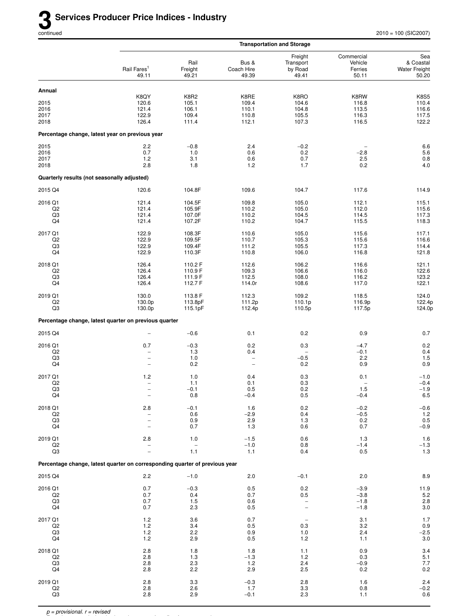|                                             |                                                                               |                                                 |                                                      | <b>Transportation and Storage</b>                           |                                                  |                                                             |
|---------------------------------------------|-------------------------------------------------------------------------------|-------------------------------------------------|------------------------------------------------------|-------------------------------------------------------------|--------------------------------------------------|-------------------------------------------------------------|
|                                             | Rail Fares <sup>1</sup><br>49.11                                              | Rail<br>Freight<br>49.21                        | Bus &<br>Coach Hire<br>49.39                         | Freight<br>Transport<br>by Road<br>49.41                    | Commercial<br>Vehicle<br>Ferries<br>50.11        | Sea<br>& Coastal<br><b>Water Freight</b><br>50.20           |
| Annual                                      |                                                                               |                                                 |                                                      |                                                             |                                                  |                                                             |
| 2015<br>2016<br>2017<br>2018                | K8QY<br>120.6<br>121.4<br>122.9<br>126.4                                      | <b>K8R2</b><br>105.1<br>106.1<br>109.4<br>111.4 | K8RE<br>109.4<br>110.1<br>110.8<br>112.1             | K8RO<br>104.6<br>104.8<br>105.5<br>107.3                    | K8RW<br>116.8<br>113.5<br>116.3<br>116.5         | <b>K8S5</b><br>110.4<br>116.6<br>117.5<br>122.2             |
|                                             | Percentage change, latest year on previous year                               |                                                 |                                                      |                                                             |                                                  |                                                             |
| 2015<br>2016<br>2017<br>2018                | 2.2<br>0.7<br>1.2<br>2.8                                                      | $-0.8$<br>1.0<br>3.1<br>1.8                     | 2.4<br>0.6<br>0.6<br>1.2                             | $-0.2$<br>0.2<br>0.7<br>1.7                                 | $-2.8$<br>2.5<br>0.2                             | 6.6<br>$\frac{5.6}{0.8}$<br>4.0                             |
| Quarterly results (not seasonally adjusted) |                                                                               |                                                 |                                                      |                                                             |                                                  |                                                             |
| 2015 Q4                                     | 120.6                                                                         | 104.8F                                          | 109.6                                                | 104.7                                                       | 117.6                                            | 114.9                                                       |
| 2016 Q1<br>Q <sub>2</sub><br>Q3<br>Q4       | 121.4<br>121.4<br>121.4<br>121.4                                              | 104.5F<br>105.9F<br>107.0F<br>107.2F            | 109.8<br>110.2<br>110.2<br>110.2                     | 105.0<br>105.0<br>104.5<br>104.7                            | 112.1<br>112.0<br>114.5<br>115.5                 | 115.1<br>115.6<br>117.3<br>118.3                            |
| 2017 Q1<br>Q2<br>Q3<br>Q4                   | 122.9<br>122.9<br>122.9<br>122.9                                              | 108.3F<br>109.5F<br>109.4F<br>110.3F            | 110.6<br>110.7<br>111.2<br>110.8                     | 105.0<br>105.3<br>105.5<br>106.0                            | 115.6<br>115.6<br>117.3<br>116.8                 | 117.1<br>116.6<br>114.4<br>121.8                            |
| 2018 Q1<br>Q <sub>2</sub><br>Q3<br>Q4       | 126.4<br>126.4<br>126.4<br>126.4                                              | 110.2 F<br>110.9 F<br>111.9 F<br>112.7 F        | 112.6<br>109.3<br>112.5<br>114.0r                    | 106.2<br>106.6<br>108.0<br>108.6                            | 116.6<br>116.0<br>116.2<br>117.0                 | 121.1<br>122.6<br>123.2<br>122.1                            |
| 2019 Q1<br>Q2<br>Q3                         | 130.0<br>130.0p<br>130.0p                                                     | 113.8 F<br>113.8pF<br>115.1pF                   | 112.3<br>111.2p<br>112.4p                            | 109.2<br>110.1p<br>110.5p                                   | 118.5<br>116.9p<br>117.5p                        | 124.0<br>122.4p<br>124.0p                                   |
|                                             | Percentage change, latest quarter on previous quarter                         |                                                 |                                                      |                                                             |                                                  |                                                             |
| 2015 Q4                                     |                                                                               | $-0.6$                                          | 0.1                                                  | 0.2                                                         | 0.9                                              | 0.7                                                         |
| 2016 Q1<br>Q2<br>Q3<br>Q4                   | 0.7<br>$\overline{a}$<br>$\overline{\phantom{a}}$<br>$\overline{\phantom{0}}$ | $-0.3$<br>1.3<br>1.0<br>0.2                     | 0.2<br>0.4<br>$\qquad \qquad -$<br>$\qquad \qquad -$ | 0.3<br>$-0.5$<br>0.2                                        | $-4.7$<br>$-0.1$<br>2.2<br>0.9                   | 0.2<br>0.4<br>1.5<br>0.9                                    |
| 2017 Q1<br>Q2<br>Q3<br>Q4                   | $1.2$<br>$\qquad \qquad -$<br>$\qquad \qquad -$                               | 1.0<br>1.1<br>$-0.1$<br>0.8                     | 0.4<br>0.1<br>0.5<br>$-0.4$                          | 0.3<br>0.3<br>0.2<br>$0.5\,$                                | 0.1<br>$\overline{\phantom{0}}$<br>1.5<br>$-0.4$ | $-1.0$<br>$-0.4$<br>$-1.9$<br>$6.5\,$                       |
| 2018 Q1<br>Q <sub>2</sub><br>Q3<br>Q4       | 2.8<br>÷<br>$\overline{a}$<br>$\overline{\phantom{0}}$                        | $-0.1$<br>0.6<br>0.9<br>0.7                     | 1.6<br>$-2.9$<br>2.9<br>1.3                          | 0.2<br>0.4<br>1.3<br>0.6                                    | $-0.2$<br>$-0.5$<br>0.2<br>0.7                   | $-0.6$<br>$\begin{array}{c} 1.2 \\ 0.5 \\ -0.9 \end{array}$ |
| 2019 Q1<br>Q2<br>Q <sub>3</sub>             | $2.8\,$<br>$\overline{\phantom{0}}$<br>$\overline{\phantom{0}}$               | 1.0<br>$\overline{\phantom{0}}$<br>1.1          | $-1.5$<br>$-1.0$<br>1.1                              | 0.6<br>0.8<br>0.4                                           | 1.3<br>$-1.4$<br>0.5                             | $1.6$<br>$-1.3$<br>$1.3$                                    |
|                                             | Percentage change, latest quarter on corresponding quarter of previous year   |                                                 |                                                      |                                                             |                                                  |                                                             |
| 2015 Q4                                     | 2.2                                                                           | $-1.0$                                          | 2.0                                                  | $-0.1$                                                      | 2.0                                              | 8.9                                                         |
| 2016 Q1<br>Q2<br>Q3<br>Q4                   | 0.7<br>0.7<br>0.7<br>0.7                                                      | $-0.3$<br>0.4<br>1.5<br>2.3                     | 0.5<br>0.7<br>0.6<br>0.5                             | 0.2<br>0.5<br>$\overline{\phantom{0}}$<br>$\qquad \qquad -$ | $-3.9$<br>$-3.8$<br>$-1.8$<br>$-1.8$             | $11.9$<br>5.2<br>$2.8\,$<br>$3.0\,$                         |
| 2017 Q1<br>Q <sub>2</sub><br>Q3<br>Q4       | 1.2<br>1.2<br>1.2<br>$1.2$                                                    | 3.6<br>3.4<br>2.2<br>2.9                        | 0.7<br>0.5<br>0.9<br>0.5                             | 0.3<br>1.0<br>$1.2$                                         | 3.1<br>3.2<br>2.4<br>1.1                         | 1.7<br>$0.9 - 2.5 - 3.0$                                    |
| 2018 Q1<br>Q2<br>Q3<br>Q4                   | 2.8<br>2.8<br>2.8<br>2.8                                                      | 1.8<br>1.3<br>2.3<br>2.2                        | 1.8<br>$-1.3$<br>1.2<br>2.9                          | 1.1<br>1.2<br>2.4<br>2.5                                    | 0.9<br>0.3<br>$-0.9$<br>0.2                      | 3.4<br>5.1<br>$\begin{array}{c} 7.7 \\ 0.2 \end{array}$     |
| 2019 Q1<br>Q2<br>Q3                         | 2.8<br>$2.8\,$<br>2.8                                                         | 3.3<br>2.6<br>2.9                               | $-0.3$<br>1.7<br>$-0.1$                              | 2.8<br>$3.3\,$<br>2.3                                       | 1.6<br>0.8<br>1.1                                | $2.4 - 0.2 - 0.6$                                           |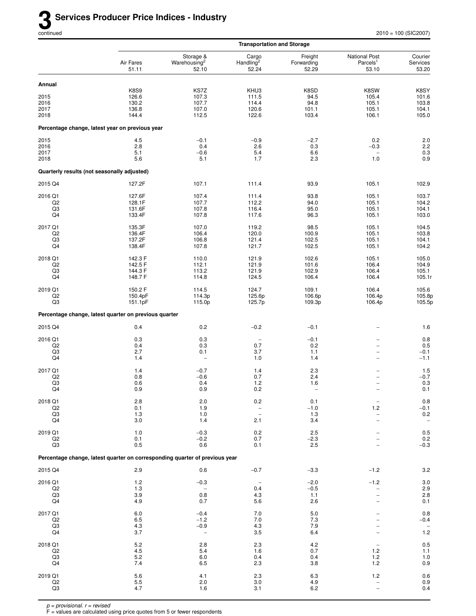|                                             |                                                                             |                                                 | <b>Transportation and Storage</b>                                  |                                        |                                                                                             |                                                   |
|---------------------------------------------|-----------------------------------------------------------------------------|-------------------------------------------------|--------------------------------------------------------------------|----------------------------------------|---------------------------------------------------------------------------------------------|---------------------------------------------------|
|                                             | Air Fares<br>51.11                                                          | Storage &<br>Warehousing <sup>2</sup><br>52.10  | Cargo<br>Handling <sup>2</sup><br>52.24                            | Freight<br>Forwarding<br>52.29         | <b>National Post</b><br>Parcels <sup>1</sup><br>53.10                                       | Courier<br>Services<br>53.20                      |
| Annual                                      |                                                                             |                                                 |                                                                    |                                        |                                                                                             |                                                   |
| 2015<br>2016<br>2017<br>2018                | <b>K8S9</b><br>126.6<br>130.2<br>136.8<br>144.4                             | KS7Z<br>107.3<br>107.7<br>107.0<br>112.5        | KHU3<br>111.5<br>114.4<br>120.6<br>122.6                           | K8SD<br>94.5<br>94.8<br>101.1<br>103.4 | K8SW<br>105.4<br>105.1<br>105.1<br>106.1                                                    | K8SY<br>101.6<br>103.8<br>104.1<br>105.0          |
|                                             | Percentage change, latest year on previous year                             |                                                 |                                                                    |                                        |                                                                                             |                                                   |
| 2015<br>2016<br>2017<br>2018                | 4.5<br>2.8<br>5.1<br>5.6                                                    | $-0.1$<br>0.4<br>$-0.6$<br>5.1                  | $-0.9$<br>2.6<br>5.4<br>1.7                                        | $-2.7$<br>0.3<br>6.6<br>2.3            | 0.2<br>$-0.3$<br>$\overline{\phantom{a}}$<br>1.0                                            | 2.0<br>2.2<br>$0.3\,$<br>0.9                      |
| Quarterly results (not seasonally adjusted) |                                                                             |                                                 |                                                                    |                                        |                                                                                             |                                                   |
| 2015 Q4                                     | 127.2F                                                                      | 107.1                                           | 111.4                                                              | 93.9                                   | 105.1                                                                                       | 102.9                                             |
| 2016 Q1<br>Q2<br>Q3<br>Q4                   | 127.6F<br>128.1F<br>131.6F<br>133.4F                                        | 107.4<br>107.7<br>107.8<br>107.8                | 111.4<br>112.2<br>116.4<br>117.6                                   | 93.8<br>94.0<br>95.0<br>96.3           | 105.1<br>105.1<br>105.1<br>105.1                                                            | 103.7<br>104.2<br>104.1<br>103.0                  |
| 2017 Q1<br>Q2<br>Q3<br>Q4                   | 135.3F<br>136.4F<br>137.2F<br>138.4F                                        | 107.0<br>106.4<br>106.8<br>107.8                | 119.2<br>120.0<br>121.4<br>121.7                                   | 98.5<br>100.9<br>102.5<br>102.5        | 105.1<br>105.1<br>105.1<br>105.1                                                            | 104.5<br>103.8<br>104.1<br>104.2                  |
| 2018 Q1<br>Q2<br>Q3<br>Q4                   | 142.3 F<br>142.5 F<br>144.3 F<br>148.7 F                                    | 110.0<br>112.1<br>113.2<br>114.8                | 121.9<br>121.9<br>121.9<br>124.5                                   | 102.6<br>101.6<br>102.9<br>106.4       | 105.1<br>106.4<br>106.4<br>106.4                                                            | 105.0<br>104.9<br>105.1<br>105.1r                 |
| 2019 Q1<br>Q2<br>Q <sub>3</sub>             | 150.2 F<br>150.4pF<br>151.1pF                                               | 114.5<br>114.3p<br>115.0p                       | 124.7<br>125.6p<br>125.7p                                          | 109.1<br>106.6p<br>109.3p              | 106.4<br>106.4p<br>106.4p                                                                   | 105.6<br>105.8p<br>105.5p                         |
|                                             | Percentage change, latest quarter on previous quarter                       |                                                 |                                                                    |                                        |                                                                                             |                                                   |
| 2015 Q4                                     | 0.4                                                                         | 0.2                                             | $-0.2$                                                             | $-0.1$                                 | $\overline{a}$                                                                              | 1.6                                               |
| 2016 Q1<br>Q2<br>Q3<br>Q4                   | 0.3<br>0.4<br>2.7<br>1.4                                                    | 0.3<br>0.3<br>0.1<br>$\overline{\phantom{a}}$   | $\overline{\phantom{0}}$<br>0.7<br>3.7<br>1.0                      | $-0.1$<br>0.2<br>1.1<br>1.4            | $\overline{\phantom{0}}$<br>$\overline{a}$<br>$\overline{\phantom{0}}$<br>$\qquad \qquad -$ | 0.8<br>0.5<br>$-0.1$<br>$-1.1$                    |
| 2017 Q1<br>Q2<br>Q3<br>Q4                   | 1.4<br>0.8<br>0.6<br>0.9                                                    | $-0.7$<br>$-0.6$<br>0.4<br>0.9                  | 1.4<br>0.7<br>1.2<br>0.2                                           | 2.3<br>2.4<br>1.6                      | $\overline{a}$<br>$\overline{\phantom{0}}$                                                  | 1.5<br>$-0.7$<br>0.3<br>$0.1\,$                   |
| 2018 Q1<br>Q <sub>2</sub><br>Q3<br>Q4       | 2.8<br>0.1<br>1.3<br>3.0                                                    | 2.0<br>1.9<br>1.0<br>1.4                        | 0.2<br>$\overline{\phantom{a}}$<br>$\overline{\phantom{0}}$<br>2.1 | 0.1<br>$-1.0$<br>$1.3$<br>3.4          | 1.2                                                                                         | $0.8\,$<br>$-0.1$<br>$0.2\,$<br>$\qquad \qquad -$ |
| 2019 Q1<br>Q2<br>Q3                         | 1.0<br>0.1<br>0.5                                                           | $-0.3$<br>$-0.2$<br>0.6                         | $0.2\,$<br>0.7<br>0.1                                              | 2.5<br>$-2.3$<br>2.5                   |                                                                                             | $0.5\,$<br>$0.2\,$<br>$-0.3$                      |
|                                             | Percentage change, latest quarter on corresponding quarter of previous year |                                                 |                                                                    |                                        |                                                                                             |                                                   |
| 2015 Q4                                     | 2.9                                                                         | 0.6                                             | $-0.7$                                                             | $-3.3$                                 | $-1.2$                                                                                      | $3.2\,$                                           |
| 2016 Q1<br>Q2<br>Q3<br>Q4                   | 1.2<br>1.3<br>3.9<br>4.9                                                    | $-0.3$<br>0.8<br>0.7                            | $\qquad \qquad -$<br>0.4<br>4.3<br>5.6                             | $-2.0$<br>$-0.5$<br>1.1<br>2.6         | $-1.2$                                                                                      | $3.0\,$<br>$2.9\,$<br>2.8<br>0.1                  |
| 2017 Q1<br>Q <sub>2</sub><br>Q3<br>Q4       | 6.0<br>6.5<br>4.3<br>3.7                                                    | $-0.4$<br>$-1.2$<br>$-0.9$<br>$\qquad \qquad -$ | 7.0<br>$7.0$<br>4.3<br>3.5                                         | 5.0<br>7.3<br>7.9<br>6.4               |                                                                                             | 0.8<br>$-0.4$<br>$1.2\,$                          |
| 2018 Q1<br>Q2<br>Q3<br>Q4                   | $5.2\,$<br>4.5<br>5.2<br>7.4                                                | 2.8<br>5.4<br>6.0<br>6.5                        | 2.3<br>1.6<br>0.4<br>2.3                                           | 4.2<br>0.7<br>0.4<br>3.8               | 1.2<br>1.2<br>1.2                                                                           | $0.5\,$<br>1.1<br>$1.0$<br>0.9                    |
| 2019 Q1<br>Q2<br>Q3                         | 5.6<br>5.5<br>4.7                                                           | 4.1<br>2.0<br>1.6                               | 2.3<br>3.0<br>3.1                                                  | 6.3<br>4.9<br>6.2                      | 1.2                                                                                         | 0.6<br>$0.9\,$<br>0.4                             |

F = values are calculated using price quotes from 5 or fewer respondents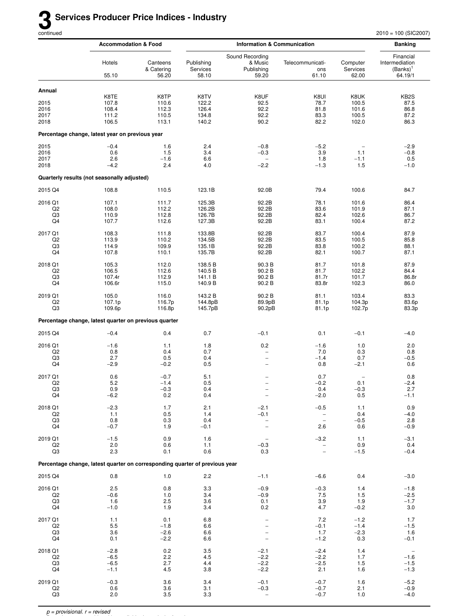|                           | <b>Accommodation &amp; Food</b>                                             |                                 |                                 | <b>Information &amp; Communication</b>            |                                               |                               | <b>Banking</b>                                        |
|---------------------------|-----------------------------------------------------------------------------|---------------------------------|---------------------------------|---------------------------------------------------|-----------------------------------------------|-------------------------------|-------------------------------------------------------|
|                           | Hotels<br>55.10                                                             | Canteens<br>& Catering<br>56.20 | Publishing<br>Services<br>58.10 | Sound Recording<br>& Music<br>Publishing<br>59.20 | Telecommunicati-<br>ons<br>61.10              | Computer<br>Services<br>62.00 | Financial<br>Intermediation<br>$(Banks)^1$<br>64.19/1 |
| Annual                    |                                                                             |                                 |                                 |                                                   |                                               |                               |                                                       |
|                           | K8TE                                                                        | K8TP                            | K8TV                            | K8UF                                              | K8UI                                          | K8UK                          | KB <sub>2</sub> S                                     |
| 2015<br>2016              | 107.8<br>108.4                                                              | 110.6<br>112.3                  | 122.2<br>126.4                  | 92.5<br>92.2                                      | 78.7<br>81.8                                  | 100.5                         | 87.5                                                  |
| 2017                      | 111.2                                                                       | 110.5                           | 134.8                           | 92.2                                              | 83.3                                          | 101.6<br>100.5                | 86.8<br>87.2                                          |
| 2018                      | 106.5                                                                       | 113.1                           | 140.2                           | 90.2                                              | 82.2                                          | 102.0                         | 86.3                                                  |
|                           | Percentage change, latest year on previous year                             |                                 |                                 |                                                   |                                               |                               |                                                       |
| 2015                      | $-0.4$                                                                      | 1.6                             | 2.4                             | $-0.8$                                            | $-5.2$                                        |                               | $-2.9$                                                |
| 2016                      | 0.6                                                                         | 1.5                             | 3.4                             | $-0.3$                                            | 3.9                                           | 1.1                           | $-0.8$                                                |
| 2017                      | 2.6                                                                         | $-1.6$                          | 6.6                             | $\overline{\phantom{0}}$                          | 1.8                                           | $-1.1$                        | 0.5                                                   |
| 2018                      | $-4.2$                                                                      | 2.4                             | 4.0                             | $-2.2$                                            | $-1.3$                                        | 1.5                           | $-1.0$                                                |
|                           | Quarterly results (not seasonally adjusted)                                 |                                 |                                 |                                                   |                                               |                               |                                                       |
| 2015 Q4                   | 108.8                                                                       | 110.5                           | 123.1B                          | 92.0B                                             | 79.4                                          | 100.6                         | 84.7                                                  |
| 2016 Q1                   | 107.1                                                                       | 111.7                           | 125.3B                          | 92.2B                                             | 78.1                                          | 101.6                         | 86.4                                                  |
| Q2                        | 108.0                                                                       | 112.2                           | 126.2B                          | 92.2B                                             | 83.6                                          | 101.9                         | 87.1                                                  |
| Q3<br>Q4                  | 110.9<br>107.7                                                              | 112.8<br>112.6                  | 126.7B<br>127.3B                | 92.2B<br>92.2B                                    | 82.4<br>83.1                                  | 102.6<br>100.4                | 86.7<br>87.2                                          |
|                           |                                                                             |                                 |                                 |                                                   |                                               |                               |                                                       |
| 2017 Q1                   | 108.3                                                                       | 111.8                           | 133.8B                          | 92.2B                                             | 83.7                                          | 100.4                         | 87.9                                                  |
| Q2                        | 113.9                                                                       | 110.2                           | 134.5B                          | 92.2B                                             | 83.5                                          | 100.5                         | 85.8                                                  |
| Q3<br>Q4                  | 114.9<br>107.8                                                              | 109.9<br>110.1                  | 135.1B<br>135.7B                | 92.2B<br>92.2B                                    | 83.8<br>82.1                                  | 100.2<br>100.7                | 88.1<br>87.1                                          |
|                           |                                                                             |                                 |                                 |                                                   |                                               |                               |                                                       |
| 2018 Q1<br>Q <sub>2</sub> | 105.3<br>106.5                                                              | 112.0<br>112.6                  | 138.5 B<br>140.5 B              | 90.3B<br>90.2B                                    | 81.7<br>81.7                                  | 101.8<br>102.2                | 87.9<br>84.4                                          |
| Q3                        | 107.4r                                                                      | 112.9                           | 141.1 B                         | 90.2B                                             | 81.7r                                         | 101.7                         | 86.8r                                                 |
| Q4                        | 106.6r                                                                      | 115.0                           | 140.9 B                         | 90.2B                                             | 83.8r                                         | 102.3                         | 86.0                                                  |
| 2019 Q1                   | 105.0                                                                       | 116.0                           | 143.2 B                         | 90.2B                                             | 81.1                                          | 103.4                         | 83.3                                                  |
| Q2                        | 107.1p                                                                      | 116.7p                          | 144.8pB                         | 89.9pB                                            | 81.1p                                         | 104.3p                        | 83.6p                                                 |
| Q3                        | 109.6p                                                                      | 116.8p                          | 145.7pB                         | 90.2pB                                            | 81.1p                                         | 102.7p                        | 83.3p                                                 |
|                           | Percentage change, latest quarter on previous quarter                       |                                 |                                 |                                                   |                                               |                               |                                                       |
| 2015 Q4                   | $-0.4$                                                                      | 0.4                             | 0.7                             | $-0.1$                                            | 0.1                                           | $-0.1$                        | $-4.0$                                                |
| 2016 Q1                   | $-1.6$                                                                      | 1.1                             | 1.8                             | 0.2                                               | $-1.6$                                        | 1.0                           | 2.0                                                   |
| Q2                        | 0.8                                                                         | 0.4                             | 0.7                             | $\qquad \qquad -$                                 | 7.0                                           | 0.3                           | 0.8                                                   |
| Q3                        | 2.7                                                                         | 0.5                             | 0.4                             | $\overline{\phantom{0}}$                          | $-1.4$                                        | 0.7                           | $-0.5$                                                |
| Q4                        | $-2.9$                                                                      | $-0.2$                          | 0.5                             | $\qquad \qquad -$                                 | 0.8                                           | $-2.1$                        | 0.6                                                   |
| 2017 Q1                   | 0.6                                                                         | $-0.7$                          | 5.1                             |                                                   | 0.7                                           |                               | 0.8                                                   |
| Q <sub>2</sub>            | 5.2                                                                         | $-1.4$                          | 0.5                             | $\qquad \qquad -$                                 | $-0.2$                                        | 0.1                           | $-2.4$                                                |
| Q <sub>3</sub><br>Q4      | 0.9                                                                         | $-0.3$                          | 0.4                             | $\overline{\phantom{a}}$                          | 0.4                                           | $-0.3$<br>$0.5\,$             | 2.7                                                   |
|                           | $-6.2$                                                                      | 0.2                             | 0.4                             |                                                   | $-2.0$                                        |                               | $-1.1$                                                |
| 2018 Q1                   | $-2.3$                                                                      | 1.7                             | 2.1                             | $-2.1$                                            | $-0.5$                                        | 1.1                           | 0.9                                                   |
| Q2                        | 1.1                                                                         | 0.5                             | 1.4                             | $-0.1$                                            | $\qquad \qquad -$                             | 0.4                           | $-4.0$                                                |
| Q3<br>Q4                  | 0.8<br>$-0.7$                                                               | 0.3<br>1.9                      | 0.4<br>$-0.1$                   | $\qquad \qquad -$<br>$\qquad \qquad -$            | $\qquad \qquad -$<br>2.6                      | $-0.5$<br>0.6                 | 2.8<br>$-0.9$                                         |
|                           |                                                                             |                                 |                                 |                                                   |                                               |                               |                                                       |
| 2019 Q1                   | $-1.5$                                                                      | 0.9                             | 1.6                             | $\overline{\phantom{0}}$                          | $-3.2$                                        | 1.1                           | $-3.1$                                                |
| Q <sub>2</sub><br>Q3      | 2.0<br>2.3                                                                  | 0.6<br>0.1                      | 1.1<br>0.6                      | $-0.3$<br>0.3                                     | $\qquad \qquad -$<br>$\overline{\phantom{0}}$ | 0.9<br>$-1.5$                 | 0.4<br>$-0.4$                                         |
|                           | Percentage change, latest quarter on corresponding quarter of previous year |                                 |                                 |                                                   |                                               |                               |                                                       |
|                           |                                                                             |                                 |                                 |                                                   |                                               |                               |                                                       |
| 2015 Q4                   | 0.8                                                                         | 1.0                             | 2.2                             | $-1.1$                                            | $-6.6$                                        | 0.4                           | $-3.0$                                                |
| 2016 Q1                   | 2.5                                                                         | 0.8                             | 3.3                             | $-0.9$                                            | $-0.3$                                        | 1.4                           | $-1.8$                                                |
| Q <sub>2</sub>            | $-0.6$                                                                      | 1.0                             | 3.4                             | $-0.9$                                            | 7.5                                           | 1.5                           | $-2.5$                                                |
| Q3<br>Q4                  | 1.6<br>$-1.0$                                                               | 2.5<br>1.9                      | 3.6<br>3.4                      | 0.1<br>0.2                                        | 3.9<br>4.7                                    | 1.9<br>$-0.2$                 | $-1.7$<br>3.0                                         |
|                           |                                                                             |                                 |                                 |                                                   |                                               |                               |                                                       |
| 2017 Q1                   | 1.1                                                                         | 0.1                             | 6.8                             | $\qquad \qquad -$                                 | 7.2                                           | $-1.2$                        | 1.7                                                   |
| Q2<br>Q3                  | 5.5<br>3.6                                                                  | $-1.8$<br>$-2.6$                | 6.6<br>6.6                      | $\qquad \qquad -$                                 | $-0.1$<br>1.7                                 | $-1.4$<br>$-2.3$              | $-1.5$<br>1.6                                         |
| Q4                        | 0.1                                                                         | $-2.2$                          | 6.6                             | $\qquad \qquad -$                                 | $-1.2$                                        | 0.3                           | $-0.1$                                                |
|                           |                                                                             |                                 |                                 |                                                   |                                               |                               |                                                       |
| 2018 Q1<br>Q <sub>2</sub> | $-2.8$<br>$-6.5$                                                            | 0.2<br>2.2                      | 3.5<br>4.5                      | $-2.1$<br>$-2.2$                                  | $-2.4$<br>$-2.2$                              | 1.4<br>1.7                    | $\hspace{0.1mm}-\hspace{0.1mm}$<br>$-1.6$             |
| Q3                        | $-6.5$                                                                      | 2.7                             | 4.4                             | $-2.2$                                            | $-2.5$                                        | 1.5                           | $-1.5$                                                |
| Q4                        | $-1.1$                                                                      | 4.5                             | 3.8                             | $-2.2$                                            | 2.1                                           | 1.6                           | $-1.3$                                                |
| 2019 Q1                   | $-0.3$                                                                      | 3.6                             | 3.4                             | $-0.1$                                            | $-0.7$                                        | 1.6                           | $-5.2$                                                |
| Q <sub>2</sub>            | 0.6                                                                         | 3.6                             | 3.1                             | $-0.3$                                            | $-0.7$                                        | 2.1                           | $-0.9$                                                |
| Q3                        | 2.0                                                                         | 3.5                             | 3.3                             | $\overline{\phantom{a}}$                          | $-0.7$                                        | 1.0                           | $-4.0$                                                |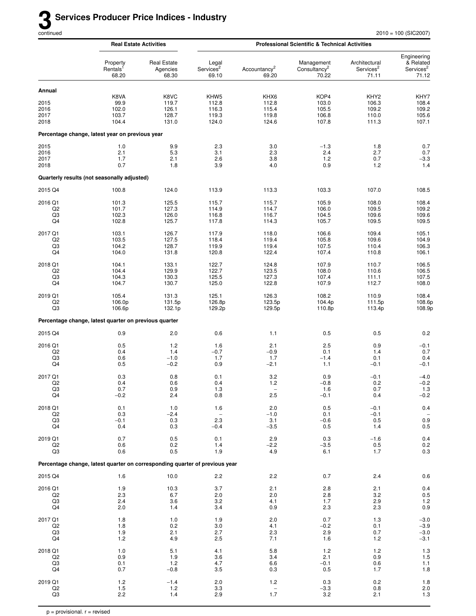|                                       | <b>Real Estate Activities</b>                                               |                                          | <b>Professional Scientific &amp; Technical Activities</b> |                                               |                                                 |                                                      |                                                            |  |
|---------------------------------------|-----------------------------------------------------------------------------|------------------------------------------|-----------------------------------------------------------|-----------------------------------------------|-------------------------------------------------|------------------------------------------------------|------------------------------------------------------------|--|
|                                       | Property<br>Rentals <sup>1</sup><br>68.20                                   | <b>Real Estate</b><br>Agencies<br>68.30  | Legal<br>Services <sup>2</sup><br>69.10                   | Accountancy <sup>2</sup><br>69.20             | Management<br>Consultancy <sup>2</sup><br>70.22 | Architectural<br>Services <sup>2</sup><br>71.11      | Engineering<br>& Related<br>Services <sup>2</sup><br>71.12 |  |
| Annual                                |                                                                             |                                          |                                                           |                                               |                                                 |                                                      |                                                            |  |
| 2015<br>2016<br>2017<br>2018          | K8VA<br>99.9<br>102.0<br>103.7<br>104.4                                     | K8VC<br>119.7<br>126.1<br>128.7<br>131.0 | KHW <sub>5</sub><br>112.8<br>116.3<br>119.3<br>124.0      | KHX6<br>112.8<br>115.4<br>119.8<br>124.6      | KOP4<br>103.0<br>105.5<br>106.8<br>107.8        | KHY <sub>2</sub><br>106.3<br>109.2<br>110.0<br>111.3 | KHY7<br>108.4<br>109.2<br>105.6<br>107.1                   |  |
|                                       | Percentage change, latest year on previous year                             |                                          |                                                           |                                               |                                                 |                                                      |                                                            |  |
| 2015<br>2016<br>2017<br>2018          | 1.0<br>2.1<br>1.7<br>0.7                                                    | 9.9<br>5.3<br>2.1<br>1.8                 | 2.3<br>3.1<br>2.6<br>3.9                                  | 3.0<br>2.3<br>3.8<br>4.0                      | $-1.3$<br>2.4<br>1.2<br>0.9                     | 1.8<br>2.7<br>0.7<br>1.2                             | 0.7<br>0.7<br>$-3.3$<br>1.4                                |  |
|                                       | Quarterly results (not seasonally adjusted)                                 |                                          |                                                           |                                               |                                                 |                                                      |                                                            |  |
| 2015 Q4                               | 100.8                                                                       | 124.0                                    | 113.9                                                     | 113.3                                         | 103.3                                           | 107.0                                                | 108.5                                                      |  |
| 2016 Q1<br>Q2<br>Q3<br>Q4             | 101.3<br>101.7<br>102.3<br>102.8                                            | 125.5<br>127.3<br>126.0<br>125.7         | 115.7<br>114.9<br>116.8<br>117.8                          | 115.7<br>114.7<br>116.7<br>114.3              | 105.9<br>106.0<br>104.5<br>105.7                | 108.0<br>109.5<br>109.6<br>109.5                     | 108.4<br>109.2<br>109.6<br>109.5                           |  |
| 2017 Q1<br>Q2<br>Q3<br>Q4             | 103.1<br>103.5<br>104.2<br>104.0                                            | 126.7<br>127.5<br>128.7<br>131.8         | 117.9<br>118.4<br>119.9<br>120.8                          | 118.0<br>119.4<br>119.4<br>122.4              | 106.6<br>105.8<br>107.5<br>107.4                | 109.4<br>109.6<br>110.4<br>110.8                     | 105.1<br>104.9<br>106.3<br>106.1                           |  |
| 2018 Q1<br>Q <sub>2</sub><br>Q3<br>Q4 | 104.1<br>104.4<br>104.3<br>104.7                                            | 133.1<br>129.9<br>130.3<br>130.7         | 122.7<br>122.7<br>125.5<br>125.0                          | 124.8<br>123.5<br>127.3<br>122.8              | 107.9<br>108.0<br>107.4<br>107.9                | 110.7<br>110.6<br>111.1<br>112.7                     | 106.5<br>106.5<br>107.5<br>108.0                           |  |
| 2019 Q1<br>Q <sub>2</sub><br>Q3       | 105.4<br>106.0p<br>106.6p                                                   | 131.3<br>131.5p<br>132.1p                | 125.1<br>126.8p<br>129.2p                                 | 126.3<br>123.5p<br>129.5p                     | 108.2<br>104.4p<br>110.8p                       | 110.9<br>111.5p<br>113.4p                            | 108.4<br>108.6p<br>108.9p                                  |  |
|                                       | Percentage change, latest quarter on previous quarter                       |                                          |                                                           |                                               |                                                 |                                                      |                                                            |  |
| 2015 Q4                               | 0.9                                                                         | 2.0                                      | 0.6                                                       | 1.1                                           | 0.5                                             | 0.5                                                  | 0.2                                                        |  |
| 2016 Q1<br>Q <sub>2</sub><br>Q3<br>Q4 | 0.5<br>0.4<br>0.6<br>0.5                                                    | 1.2<br>1.4<br>$-1.0$<br>$-0.2$           | 1.6<br>$-0.7$<br>1.7<br>0.9                               | 2.1<br>$-0.9$<br>1.7<br>$-2.1$                | 2.5<br>0.1<br>$-1.4$<br>1.1                     | 0.9<br>1.4<br>0.1<br>$-0.1$                          | $-0.1$<br>0.7<br>0.4<br>$-0.1$                             |  |
| 2017 Q1<br>Q <sub>2</sub><br>Q3<br>Q4 | 0.3<br>0.4<br>0.7<br>$-0.2$                                                 | 0.8<br>0.6<br>0.9<br>2.4                 | 0.1<br>0.4<br>1.3<br>0.8                                  | 3.2<br>1.2<br>$\overline{\phantom{m}}$<br>2.5 | 0.9<br>$-0.8$<br>1.6<br>$-0.1$                  | $-0.1$<br>0.2<br>0.7<br>0.4                          | $-4.0$<br>$-0.2$<br>1.3<br>$-0.2$                          |  |
| 2018 Q1<br>Q2<br>Q3<br>Q4             | 0.1<br>0.3<br>$-0.1$<br>0.4                                                 | 1.0<br>$-2.4$<br>0.3<br>0.3              | 1.6<br>$2.3\,$<br>$-0.4$                                  | 2.0<br>$-1.0$<br>3.1<br>$-3.5$                | 0.5<br>0.1<br>$-0.6$<br>0.5                     | $-0.1$<br>$-0.1$<br>0.5<br>1.4                       | $0.4\,$<br>$\begin{array}{c} 0.9 \\ 0.5 \end{array}$       |  |
| 2019 Q1<br>Q2<br>Q3                   | 0.7<br>0.6<br>0.6                                                           | 0.5<br>0.2<br>0.5                        | 0.1<br>1.4<br>1.9                                         | 2.9<br>$-2.2$<br>4.9                          | 0.3<br>$-3.5$<br>6.1                            | $-1.6$<br>0.5<br>1.7                                 | 0.4<br>$0.2\,$<br>0.3                                      |  |
|                                       | Percentage change, latest quarter on corresponding quarter of previous year |                                          |                                                           |                                               |                                                 |                                                      |                                                            |  |
| 2015 Q4                               | 1.6                                                                         | 10.0                                     | 2.2                                                       | 2.2                                           | 0.7                                             | 2.4                                                  | $0.6\,$                                                    |  |
| 2016 Q1<br>Q2<br>Q3<br>Q4             | 1.9<br>2.3<br>2.4<br>2.0                                                    | 10.3<br>6.7<br>3.6<br>1.4                | 3.7<br>2.0<br>3.2<br>3.4                                  | 2.1<br>2.0<br>4.1<br>0.9                      | 2.8<br>2.8<br>1.7<br>2.3                        | 2.1<br>3.2<br>2.9<br>2.3                             | 0.4<br>$0.5$<br>1.2<br>0.9                                 |  |
| 2017 Q1<br>Q2<br>Q3<br>Q4             | 1.8<br>1.8<br>1.9<br>$1.2$                                                  | $1.0$<br>0.2<br>2.1<br>4.9               | 1.9<br>3.0<br>2.7<br>2.5                                  | 2.0<br>4.1<br>2.3<br>7.1                      | 0.7<br>$-0.2$<br>2.9<br>1.6                     | 1.3<br>0.1<br>0.7<br>1.2                             | $-3.0$<br>$-3.9$<br>$-3.0$<br>$-3.1$                       |  |
| 2018 Q1<br>Q2<br>Q3<br>Q4             | 1.0<br>0.9<br>0.1<br>0.7                                                    | 5.1<br>1.9<br>$1.2$<br>$-0.8$            | 4.1<br>3.6<br>4.7<br>3.5                                  | 5.8<br>3.4<br>6.6<br>0.3                      | 1.2<br>2.1<br>$-0.1$<br>0.5                     | 1.2<br>0.9<br>0.6<br>1.7                             | $\frac{1.3}{1.5}$<br>1.1<br>1.8                            |  |
| 2019 Q1<br>$_{\rm Q2}$<br>Q3          | 1.2<br>1.5<br>2.2                                                           | $-1.4$<br>1.2<br>1.4                     | 2.0<br>3.3<br>2.9                                         | 1.2<br>$\overline{\phantom{a}}$<br>1.7        | 0.3<br>$-3.3$<br>3.2                            | 0.2<br>0.8<br>2.1                                    | $1.8$<br>$2.0$<br>$1.3$                                    |  |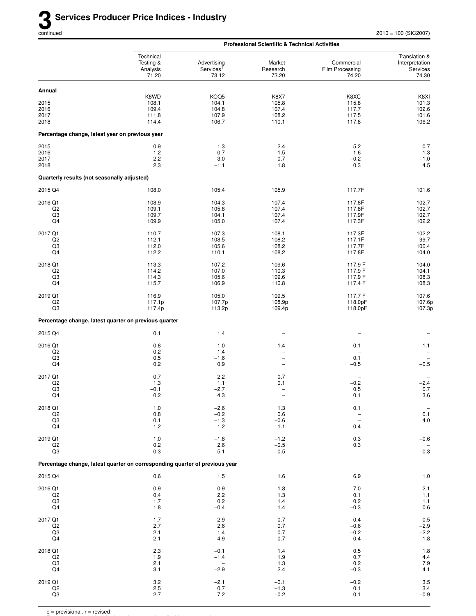|                                                 |                                                                             |                                                 | <b>Professional Scientific &amp; Technical Activities</b> |                                                                       |                                                      |
|-------------------------------------------------|-----------------------------------------------------------------------------|-------------------------------------------------|-----------------------------------------------------------|-----------------------------------------------------------------------|------------------------------------------------------|
|                                                 | Technical<br>Testing &<br>Analysis<br>71.20                                 | Advertising<br>Services <sup>1</sup><br>73.12   | Market<br>Research<br>73.20                               | Commercial<br>Film Processing<br>74.20                                | Translation &<br>Interpretation<br>Services<br>74.30 |
| Annual                                          |                                                                             |                                                 |                                                           |                                                                       |                                                      |
| 2015<br>2016<br>2017<br>2018                    | K8WD<br>108.1<br>109.4<br>111.8<br>114.4                                    | KOQ5<br>104.1<br>104.8<br>107.9<br>106.7        | <b>K8X7</b><br>105.8<br>107.4<br>108.2<br>110.1           | K8XC<br>115.8<br>117.7<br>117.5<br>117.8                              | K8XI<br>101.3<br>102.6<br>101.6<br>106.2             |
| Percentage change, latest year on previous year |                                                                             |                                                 |                                                           |                                                                       |                                                      |
| 2015<br>2016<br>2017<br>2018                    | 0.9<br>1.2<br>2.2<br>2.3                                                    | 1.3<br>0.7<br>3.0<br>$-1.1$                     | 2.4<br>1.5<br>0.7<br>1.8                                  | 5.2<br>1.6<br>$-0.2$<br>0.3                                           | 0.7<br>$1.3$<br>$-1.0$<br>4.5                        |
| Quarterly results (not seasonally adjusted)     |                                                                             |                                                 |                                                           |                                                                       |                                                      |
| 2015 Q4                                         | 108.0                                                                       | 105.4                                           | 105.9                                                     | 117.7F                                                                | 101.6                                                |
| 2016 Q1<br>Q <sub>2</sub><br>Q3<br>Q4           | 108.9<br>109.1<br>109.7<br>109.9                                            | 104.3<br>105.8<br>104.1<br>105.0                | 107.4<br>107.4<br>107.4<br>107.4                          | 117.8F<br>117.8F<br>117.9F<br>117.3F                                  | 102.7<br>102.7<br>102.7<br>102.2                     |
| 2017 Q1<br>Q2<br>Q3<br>Q4                       | 110.7<br>112.1<br>112.0<br>112.2                                            | 107.3<br>108.5<br>105.6<br>110.1                | 108.1<br>108.2<br>108.2<br>108.2                          | 117.3F<br>117.1F<br>117.7F<br>117.8F                                  | 102.2<br>99.7<br>100.4<br>104.0                      |
| 2018 Q1<br>Q2<br>Q3<br>Q4                       | 113.3<br>114.2<br>114.3<br>115.7                                            | 107.2<br>107.0<br>105.6<br>106.9                | 109.6<br>110.3<br>109.6<br>110.8                          | 117.9 F<br>117.9 F<br>117.9 F<br>117.4 F                              | 104.0<br>104.1<br>108.3<br>108.3                     |
| 2019 Q1<br>Q2<br>Q3                             | 116.9<br>117.1p<br>117.4p                                                   | 105.0<br>107.7p<br>113.2p                       | 109.5<br>108.9p<br>109.4p                                 | 117.7 F<br>118.0pF<br>118.0pF                                         | 107.6<br>107.6p<br>107.3p                            |
|                                                 | Percentage change, latest quarter on previous quarter                       |                                                 |                                                           |                                                                       |                                                      |
| 2015 Q4                                         | 0.1                                                                         | 1.4                                             |                                                           |                                                                       |                                                      |
| 2016 Q1<br>Q <sub>2</sub><br>Q3<br>Q4           | 0.8<br>0.2<br>0.5<br>0.2                                                    | $-1.0$<br>1.4<br>$-1.6$<br>0.9                  | 1.4<br>$\overline{a}$<br>$\overline{a}$<br>$\overline{a}$ | 0.1<br>0.1<br>$-0.5$                                                  | 1.1<br>$-0.5$                                        |
| 2017 Q1<br>Q <sub>2</sub><br>Q3<br>Q4           | 0.7<br>1.3<br>$-0.1$<br>0.2                                                 | 2.2<br>1.1<br>$-2.7$<br>4.3                     | 0.7<br>0.1<br>$\overline{\phantom{0}}$                    | $-0.2$<br>0.5<br>0.1                                                  | $-2.4$<br>$0.7\,$<br>3.6                             |
| 2018 Q1<br>Q2<br>Q3<br>Q4                       | $1.0$<br>0.8<br>0.1<br>$1.2$                                                | $-2.6$<br>$-0.2$<br>$-1.3$<br>1.2               | 1.3<br>0.6<br>$-0.6$<br>1.1                               | 0.1<br>$\overline{\phantom{0}}$<br>$\overline{\phantom{0}}$<br>$-0.4$ | 0.1<br>$4.0\,$                                       |
| 2019 Q1<br>Q2<br>Q3                             | $1.0$<br>0.2<br>0.3                                                         | $-1.8$<br>2.6<br>5.1                            | $-1.2$<br>$-0.5$<br>0.5                                   | 0.3<br>0.3                                                            | $-0.6$<br>$-0.3$                                     |
|                                                 | Percentage change, latest quarter on corresponding quarter of previous year |                                                 |                                                           |                                                                       |                                                      |
| 2015 Q4                                         | 0.6                                                                         | $1.5$                                           | 1.6                                                       | 6.9                                                                   | $1.0$                                                |
| 2016 Q1<br>Q2<br>Q3<br>Q4                       | 0.9<br>0.4<br>1.7<br>1.8                                                    | 0.9<br>2.2<br>0.2<br>$-0.4$                     | 1.8<br>1.3<br>1.4<br>1.4                                  | 7.0<br>0.1<br>0.2<br>$-0.3$                                           | $2.1$<br>1.1<br>$1.1$<br>$0.6\,$                     |
| 2017 Q1<br>Q2<br>Q3<br>Q4                       | 1.7<br>2.7<br>2.1<br>2.1                                                    | 2.9<br>2.6<br>1.4<br>4.9                        | 0.7<br>0.7<br>0.7<br>0.7                                  | $-0.4$<br>$-0.6$<br>$-0.2$<br>0.4                                     | $-0.5$<br>$-2.9$<br>$-2.2$<br>$1.8$                  |
| 2018 Q1<br>Q2<br>Q3<br>Q4                       | 2.3<br>1.9<br>2.1<br>3.1                                                    | $-0.1$<br>$-1.4$<br>$\qquad \qquad -$<br>$-2.9$ | 1.4<br>1.9<br>1.3<br>2.4                                  | 0.5<br>0.7<br>0.2<br>$-0.3$                                           | $\frac{1.8}{4.4}$<br>$7.9$<br>4.1                    |
| 2019 Q1<br>$_{\mathsf{Q2}}$<br>Q3               | $3.2\,$<br>$2.5\,$<br>2.7                                                   | $-2.1$<br>0.7<br>7.2                            | $-0.1$<br>$-1.3$<br>$-0.2$                                | $-0.2$<br>0.1<br>0.1                                                  | $3.5$<br>$3.4$<br>$-0.9$                             |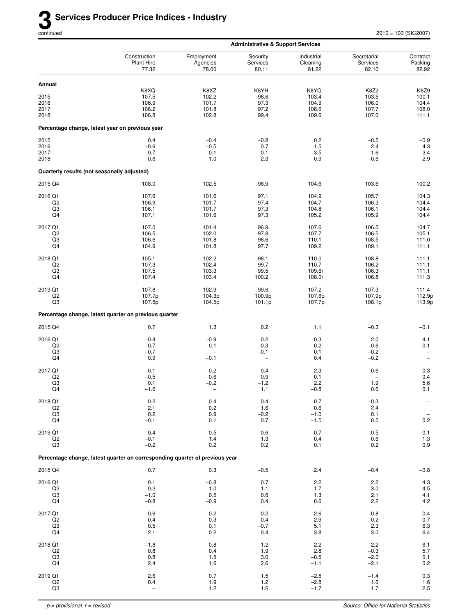|                                             |                                                                             |                                                     | <b>Administrative &amp; Support Services</b>     |                                    |                                        |                                                                           |
|---------------------------------------------|-----------------------------------------------------------------------------|-----------------------------------------------------|--------------------------------------------------|------------------------------------|----------------------------------------|---------------------------------------------------------------------------|
|                                             | Construction<br><b>Plant Hire</b><br>77.32                                  | Employment<br>Agencies<br>78.00                     | Security<br>Services<br>80.11                    | Industrial<br>Cleaning<br>81.22    | Secretarial<br>Services<br>82.10       | Contract<br>Packing<br>82.92                                              |
| Annual                                      |                                                                             |                                                     |                                                  |                                    |                                        |                                                                           |
| 2015<br>2016<br>2017                        | K8XQ<br>107.5<br>106.9<br>106.2                                             | K8XZ<br>102.2<br>101.7<br>101.8                     | K8YH<br>96.6<br>97.3<br>97.2                     | K8YQ<br>103.4<br>104.9<br>108.6    | <b>K8Z2</b><br>103.5<br>106.0<br>107.7 | K8Z9<br>100.1<br>104.4<br>108.0                                           |
| 2018                                        | 106.8                                                                       | 102.8                                               | 99.4                                             | 109.6                              | 107.0                                  | 111.1                                                                     |
|                                             | Percentage change, latest year on previous year                             |                                                     |                                                  |                                    |                                        |                                                                           |
| 2015<br>2016<br>2017<br>2018                | 0.4<br>$-0.6$<br>$-0.7$<br>0.6                                              | $-0.4$<br>$-0.5$<br>0.1<br>1.0                      | $-0.8$<br>0.7<br>$-0.1$<br>2.3                   | 0.2<br>1.5<br>3.5<br>0.9           | $-0.5$<br>2.4<br>1.6<br>$-0.6$         | $-0.9$<br>4.3<br>$3.4\,$<br>2.9                                           |
|                                             | Quarterly results (not seasonally adjusted)                                 |                                                     |                                                  |                                    |                                        |                                                                           |
| 2015 Q4                                     | 108.0                                                                       | 102.5                                               | 96.9                                             | 104.6                              | 103.6                                  | 100.2                                                                     |
| 2016 Q1                                     | 107.6                                                                       | 101.6                                               | 97.1                                             | 104.9                              | 105.7                                  | 104.3                                                                     |
| Q <sub>2</sub><br>Q3<br>Q4                  | 106.9<br>106.1<br>107.1                                                     | 101.7<br>101.7<br>101.6                             | 97.4<br>97.3<br>97.3                             | 104.7<br>104.8<br>105.2            | 106.3<br>106.1<br>105.9                | 104.4<br>104.4<br>104.4                                                   |
| 2017 Q1<br>Q <sub>2</sub><br>Q3<br>Q4       | 107.0<br>106.5<br>106.6<br>104.9                                            | 101.4<br>102.0<br>101.8<br>101.8                    | 96.9<br>97.8<br>96.6<br>97.7                     | 107.6<br>107.7<br>110.1<br>109.2   | 106.5<br>106.5<br>108.5<br>109.1       | 104.7<br>105.1<br>111.0<br>111.1                                          |
| 2018 Q1<br>Q <sub>2</sub><br>Q3<br>Q4       | 105.1<br>107.3<br>107.5<br>107.4                                            | 102.2<br>102.4<br>103.3<br>103.4                    | 98.1<br>99.7<br>99.5<br>100.2                    | 110.0<br>110.7<br>109.6r<br>108.0r | 108.8<br>106.2<br>106.3<br>106.8       | 111.1<br>111.1<br>111.1<br>111.3                                          |
| 2019 Q1<br>Q <sub>2</sub><br>Q <sub>3</sub> | 107.8<br>107.7p<br>107.5p                                                   | 102.9<br>104.3p<br>104.5p                           | 99.6<br>100.9p<br>101.1p                         | 107.2<br>107.6p<br>107.7p          | 107.3<br>107.9p<br>108.1p              | 111.4<br>112.9p<br>113.9p                                                 |
|                                             | Percentage change, latest quarter on previous quarter                       |                                                     |                                                  |                                    |                                        |                                                                           |
| 2015 Q4                                     | 0.7                                                                         | 1.3                                                 | 0.2                                              | 1.1                                | $-0.3$                                 | $-0.1$                                                                    |
| 2016 Q1<br>Q2<br>Q3<br>Q4                   | $-0.4$<br>$-0.7$<br>$-0.7$<br>0.9                                           | $-0.9$<br>0.1<br>$\overline{\phantom{m}}$<br>$-0.1$ | 0.2<br>0.3<br>$-0.1$<br>$\overline{\phantom{0}}$ | 0.3<br>$-0.2$<br>0.1<br>0.4        | 2.0<br>0.6<br>$-0.2$<br>$-0.2$         | 4.1<br>0.1<br>$\qquad \qquad -$<br>$\overline{\phantom{a}}$               |
| 2017 Q1<br>Q <sub>2</sub><br>Q3<br>Q4       | $-0.1$<br>$-0.5$<br>0.1<br>$-1.6$                                           | $-0.2$<br>0.6<br>$-0.2$<br>$\overline{a}$           | $-0.4$<br>0.9<br>$-1.2$<br>1.1                   | 2.3<br>0.1<br>2.2<br>$-0.8$        | 0.6<br>1.9<br>0.6                      | 0.3<br>0.4<br>5.6<br>0.1                                                  |
| 2018 Q1<br>Q2<br>$_{\rm Q3}$<br>Q4          | 0.2<br>2.1<br>0.2<br>$-0.1$                                                 | 0.4<br>0.2<br>0.9<br>0.1                            | 0.4<br>1.6<br>$-0.2$<br>0.7                      | 0.7<br>0.6<br>$-1.0$<br>$-1.5$     | $-0.3$<br>$-2.4$<br>0.1<br>0.5         | $\qquad \qquad -$<br>$\qquad \qquad -$<br>$\overline{\phantom{m}}$<br>0.2 |
| 2019 Q1<br>Q2<br>$_{\rm Q3}$                | 0.4<br>$-0.1$<br>$-0.2$                                                     | $-0.5$<br>1.4<br>0.2                                | $-0.6$<br>1.3<br>0.2                             | $-0.7$<br>0.4<br>0.1               | $0.5\,$<br>0.6<br>0.2                  | $0.1\,$<br>$\begin{array}{c} 1.3 \\ 0.9 \end{array}$                      |
|                                             | Percentage change, latest quarter on corresponding quarter of previous year |                                                     |                                                  |                                    |                                        |                                                                           |
| 2015 Q4                                     | 0.7                                                                         | 0.3                                                 | $-0.5$                                           | 2.4                                | $-0.4$                                 | $-0.8$                                                                    |
| 2016 Q1<br>Q2<br>Q <sub>3</sub><br>Q4       | 0.1<br>$-0.2$<br>$-1.0$<br>$-0.8$                                           | $-0.8$<br>$-1.0$<br>0.5<br>$-0.9$                   | 0.7<br>1.1<br>0.6<br>0.4                         | 2.2<br>1.7<br>1.3<br>0.6           | 2.2<br>3.0<br>2.1<br>2.2               | 4.3<br>4.5<br>$4.1$<br>$4.2$                                              |
| 2017 Q1<br>Q2<br>Q3<br>Q4                   | $-0.6$<br>$-0.4$<br>0.5<br>$-2.1$                                           | $-0.2$<br>0.3<br>0.1<br>0.2                         | $-0.2$<br>0.4<br>$-0.7$<br>0.4                   | 2.6<br>2.9<br>5.1<br>3.8           | 0.8<br>0.2<br>2.3<br>3.0               | 0.4<br>$0.7\,$<br>6.3<br>6.4                                              |
| 2018 Q1<br>Q2<br>Q <sub>3</sub><br>Q4       | $-1.8$<br>0.8<br>0.8<br>2.4                                                 | 0.8<br>0.4<br>1.5<br>1.6                            | 1.2<br>1.9<br>3.0<br>2.6                         | 2.2<br>2.8<br>$-0.5$<br>$-1.1$     | 2.2<br>$-0.3$<br>$-2.0$<br>$-2.1$      | 6.1<br>5.7<br>$0.1\,$<br>$0.2\,$                                          |
| 2019 Q1<br>Q2<br>Q3                         | 2.6<br>0.4<br>$\qquad \qquad -$                                             | 0.7<br>1.9<br>1.2                                   | 1.5<br>1.2<br>1.6                                | $-2.5$<br>$-2.8$<br>$-1.7$         | $-1.4$<br>1.6<br>1.7                   | $0.3\,$<br>$\begin{array}{c} 1.6 \\ 2.5 \end{array}$                      |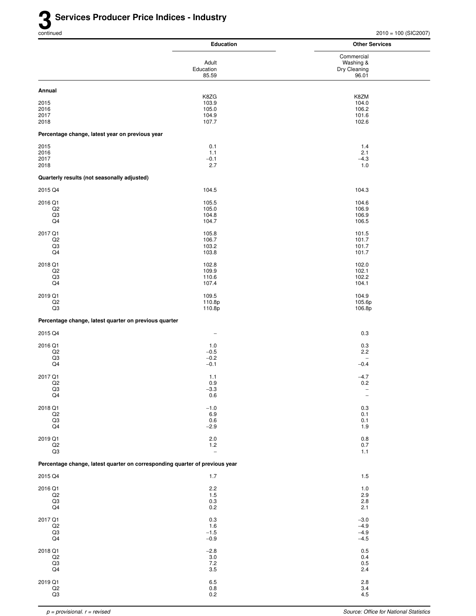|                                                                             | <b>Education</b>                         | <b>Other Services</b>                            |
|-----------------------------------------------------------------------------|------------------------------------------|--------------------------------------------------|
|                                                                             | Adult<br>Education<br>85.59              | Commercial<br>Washing &<br>Dry Cleaning<br>96.01 |
| Annual                                                                      |                                          |                                                  |
| 2015<br>2016<br>2017<br>2018                                                | K8ZG<br>103.9<br>105.0<br>104.9<br>107.7 | K8ZM<br>104.0<br>106.2<br>101.6<br>102.6         |
| Percentage change, latest year on previous year                             |                                          |                                                  |
| 2015                                                                        | 0.1                                      | 1.4                                              |
| 2016                                                                        | 1.1                                      | 2.1                                              |
| 2017                                                                        | $-0.1$                                   | $-4.3$                                           |
| 2018                                                                        | 2.7                                      | 1.0                                              |
| Quarterly results (not seasonally adjusted)                                 |                                          |                                                  |
| 2015 Q4                                                                     | 104.5                                    | 104.3                                            |
| 2016 Q1                                                                     | 105.5                                    | 104.6                                            |
| Q <sub>2</sub>                                                              | 105.0                                    | 106.9                                            |
| $_{\rm Q3}$                                                                 | 104.8                                    | 106.9                                            |
| Q4                                                                          | 104.7                                    | 106.5                                            |
| 2017 Q1                                                                     | 105.8                                    | 101.5                                            |
| Q2                                                                          | 106.7                                    | 101.7                                            |
| Q3                                                                          | 103.2                                    | 101.7                                            |
| Q4                                                                          | 103.8                                    | 101.7                                            |
| 2018 Q1                                                                     | 102.8                                    | 102.0                                            |
| Q2                                                                          | 109.9                                    | 102.1                                            |
| Q3                                                                          | 110.6                                    | 102.2                                            |
| Q4                                                                          | 107.4                                    | 104.1                                            |
| 2019 Q1                                                                     | 109.5                                    | 104.9                                            |
| Q2                                                                          | 110.8p                                   | 105.6p                                           |
| Q3                                                                          | 110.8p                                   | 106.8p                                           |
| Percentage change, latest quarter on previous quarter                       |                                          |                                                  |
| 2015 Q4                                                                     | $\qquad \qquad -$                        | $0.3\,$                                          |
| 2016 Q1<br>Q2<br>Q3<br>Q4                                                   | 1.0<br>$-0.5$<br>$-0.2$<br>$-0.1$        | 0.3<br>2.2<br>$-0.4$                             |
| 2017 Q1                                                                     | 1.1                                      | $-4.7$                                           |
| Q2                                                                          | 0.9                                      | 0.2                                              |
| Q3                                                                          | $-3.3$                                   | $\overline{\phantom{a}}$                         |
| Q4                                                                          | $0.6\,$                                  | $\overline{\phantom{a}}$                         |
| 2018 Q1                                                                     | $-1.0$                                   | 0.3                                              |
| Q <sub>2</sub>                                                              | 6.9                                      | 0.1                                              |
| $_{\rm Q3}$                                                                 | $0.6\,$                                  | 0.1                                              |
| Q4                                                                          | $-2.9$                                   | 1.9                                              |
| 2019 Q1                                                                     | $2.0\,$                                  | 0.8                                              |
| $_{\mathsf{Q2}}$                                                            | $1.2$                                    | $0.7\,$                                          |
| Q3                                                                          | $\overline{\phantom{a}}$                 | 1.1                                              |
| Percentage change, latest quarter on corresponding quarter of previous year |                                          |                                                  |
| 2015 Q4                                                                     | 1.7                                      | 1.5                                              |
| 2016 Q1                                                                     | 2.2                                      | 1.0                                              |
| Q2                                                                          | 1.5                                      | 2.9                                              |
| $_{\rm Q3}$                                                                 | $0.3\,$                                  | 2.8                                              |
| Q4                                                                          | 0.2                                      | 2.1                                              |
| 2017 Q1                                                                     | $0.3\,$                                  | $-3.0$                                           |
| Q <sub>2</sub>                                                              | 1.6                                      | $-4.9$                                           |
| $_{\rm Q3}$                                                                 | $-1.5$                                   | $-4.9$                                           |
| Q4                                                                          | $-0.9$                                   | $-4.5$                                           |
| 2018 Q1                                                                     | $-2.8$                                   | 0.5                                              |
| Q2                                                                          | $3.0\,$                                  | 0.4                                              |
| Q3                                                                          | 7.2                                      | 0.5                                              |
| Q4                                                                          | 3.5                                      | 2.4                                              |
| 2019 Q1                                                                     | 6.5                                      | 2.8                                              |
| $_{\mathsf{Q2}}$                                                            | $0.8\,$                                  | 3.4                                              |
| $_{\rm Q3}$                                                                 | $0.2\,$                                  | 4.5                                              |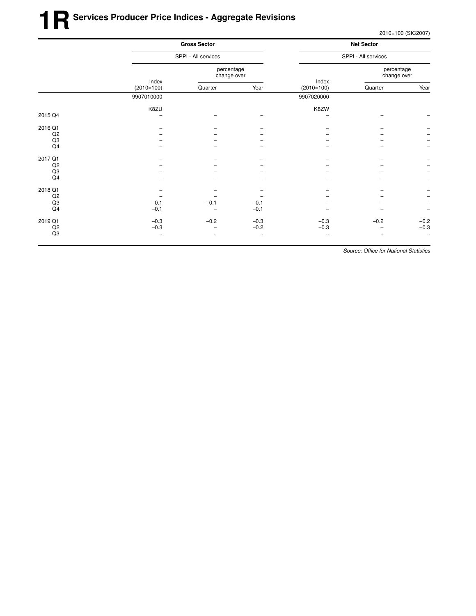## **1RSer vices Producer Price Indices - Aggregate Revisions**

2010=100 (SIC2007)

|         |                       | <b>Gross Sector</b><br>SPPI - All services |              |                       | <b>Net Sector</b><br>SPPI - All services |                          |  |
|---------|-----------------------|--------------------------------------------|--------------|-----------------------|------------------------------------------|--------------------------|--|
|         |                       |                                            |              |                       |                                          |                          |  |
|         |                       | percentage<br>change over                  |              |                       | percentage<br>change over                |                          |  |
|         | Index<br>$(2010=100)$ | Quarter                                    | Year         | Index<br>$(2010=100)$ | Quarter                                  | Year                     |  |
|         | 9907010000            |                                            |              | 9907020000            |                                          |                          |  |
|         | K8ZU                  |                                            |              | K8ZW                  |                                          |                          |  |
| 2015 Q4 |                       |                                            |              |                       |                                          |                          |  |
| 2016 Q1 |                       |                                            |              |                       |                                          |                          |  |
| Q2      |                       |                                            |              |                       |                                          |                          |  |
| Q3      |                       |                                            |              |                       |                                          |                          |  |
| Q4      |                       |                                            |              |                       |                                          |                          |  |
| 2017 Q1 |                       |                                            |              |                       |                                          |                          |  |
| Q2      |                       |                                            |              |                       |                                          |                          |  |
| Q3      |                       |                                            |              |                       |                                          |                          |  |
| Q4      |                       |                                            |              |                       |                                          | $\overline{\phantom{m}}$ |  |
| 2018 Q1 |                       |                                            |              |                       |                                          |                          |  |
| Q2      |                       |                                            |              |                       |                                          |                          |  |
| Q3      | $-0.1$                | $-0.1$                                     | $-0.1$       |                       |                                          | $\qquad \qquad -$        |  |
| Q4      | $-0.1$                | $\qquad \qquad -$                          | $-0.1$       |                       |                                          | $\qquad \qquad -$        |  |
| 2019 Q1 | $-0.3$                | $-0.2$                                     | $-0.3$       | $-0.3$                | $-0.2$                                   | $-0.2$                   |  |
| Q2      | $-0.3$                | -                                          | $-0.2$       | $-0.3$                | $\qquad \qquad -$                        | $-0.3$                   |  |
| Q3      | $\cdot$ .             |                                            | $\cdot\cdot$ | $\cdot$ .             | $\cdot$ .                                | $\cdot\cdot$             |  |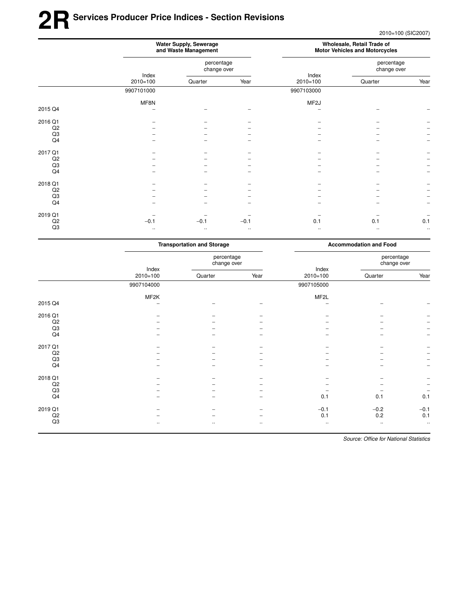## **2RSer vices Producer Price Indices - Section Revisions**

2010=100 (SIC2007)

|                | Water Supply, Sewerage<br>and Waste Management |                           |           | Wholesale, Retail Trade of<br><b>Motor Vehicles and Motorcycles</b> |                           |               |
|----------------|------------------------------------------------|---------------------------|-----------|---------------------------------------------------------------------|---------------------------|---------------|
|                | Index<br>$2010 = 100$                          | percentage<br>change over |           |                                                                     | percentage<br>change over |               |
|                |                                                | Quarter                   | Year      | Index<br>$2010=100$                                                 | Quarter                   | Year          |
|                | 9907101000                                     |                           |           | 9907103000                                                          |                           |               |
|                | MF8N                                           |                           |           | MF <sub>2</sub> J                                                   |                           |               |
| 2015 Q4        |                                                |                           |           |                                                                     |                           |               |
| 2016 Q1        |                                                |                           |           |                                                                     |                           |               |
| Q2             |                                                |                           |           |                                                                     |                           |               |
| Q3             |                                                |                           |           |                                                                     |                           |               |
| Q <sub>4</sub> |                                                |                           |           |                                                                     |                           |               |
| 2017 Q1        |                                                |                           |           |                                                                     |                           |               |
| Q2             |                                                |                           |           |                                                                     |                           |               |
| Q3             |                                                |                           |           |                                                                     |                           |               |
| Q4             |                                                |                           |           |                                                                     |                           |               |
| 2018 Q1        |                                                |                           |           |                                                                     |                           |               |
| Q2             |                                                |                           |           |                                                                     |                           |               |
| Q3             |                                                |                           |           |                                                                     |                           |               |
| Q4             |                                                |                           |           |                                                                     |                           |               |
| 2019 Q1        |                                                |                           |           |                                                                     |                           |               |
| Q2             | $-0.1$                                         | $-0.1$                    | $-0.1$    | 0.1                                                                 | 0.1                       | 0.1           |
| Q3             | $\ldots$                                       | $\ddotsc$                 | $\cdot$ . | $\ldots$                                                            | $\cdot$ .                 | $\sim$ $\sim$ |

|         | <b>Transportation and Storage</b> |                           |           | <b>Accommodation and Food</b> |                           |                          |
|---------|-----------------------------------|---------------------------|-----------|-------------------------------|---------------------------|--------------------------|
|         | Index<br>$2010 = 100$             | percentage<br>change over |           |                               | percentage<br>change over |                          |
|         |                                   | Quarter                   | Year      | Index<br>$2010 = 100$         | Quarter                   | Year                     |
|         | 9907104000                        |                           |           | 9907105000                    |                           |                          |
|         | MF2K                              |                           |           | MF <sub>2</sub> L             |                           |                          |
| 2015 Q4 |                                   |                           |           |                               |                           |                          |
| 2016 Q1 |                                   |                           |           |                               |                           |                          |
| Q2      |                                   |                           |           |                               |                           | -                        |
| Q3      |                                   |                           |           |                               |                           | $\overline{\phantom{a}}$ |
| Q4      |                                   |                           |           |                               |                           | $\overline{\phantom{m}}$ |
| 2017 Q1 |                                   |                           |           |                               |                           |                          |
| Q2      |                                   |                           |           |                               |                           | $\overline{\phantom{a}}$ |
| Q3      |                                   |                           |           |                               |                           | $\qquad \qquad -$        |
| Q4      |                                   |                           |           |                               |                           | $\overline{\phantom{m}}$ |
| 2018 Q1 |                                   |                           |           |                               |                           |                          |
| Q2      |                                   |                           |           |                               |                           | $\overline{\phantom{a}}$ |
| Q3      |                                   |                           |           |                               |                           | $\overline{\phantom{m}}$ |
| Q4      |                                   |                           |           | 0.1                           | 0.1                       | 0.1                      |
| 2019 Q1 |                                   |                           |           | $-0.1$                        | $-0.2$                    | $-0.1$                   |
| Q2      |                                   |                           |           | 0.1                           | 0.2                       | 0.1                      |
| Q3      |                                   | $\cdot\cdot$              | $\cdot$ . | $\cdot$ .                     | $\cdot\cdot$              | $\cdot\cdot$             |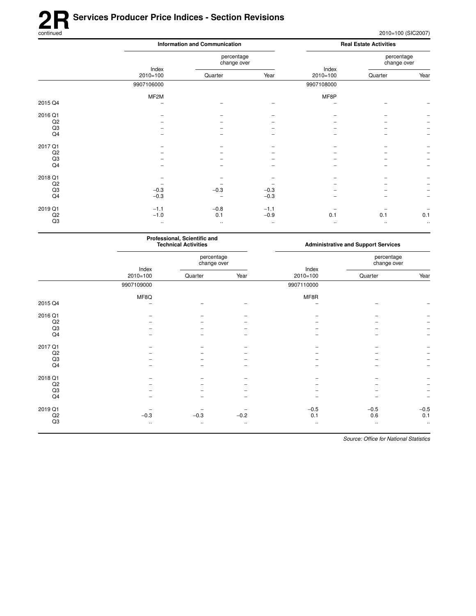# **2R** Services Producer Price Indices - Section Revisions<br>
continued

|                |                     | <b>Information and Communication</b> |          |                       |                           |                          |
|----------------|---------------------|--------------------------------------|----------|-----------------------|---------------------------|--------------------------|
|                |                     | percentage<br>change over            |          |                       | percentage<br>change over |                          |
|                | Index<br>$2010=100$ | Quarter                              | Year     | Index<br>$2010 = 100$ | Quarter                   | Year                     |
|                | 9907106000          |                                      |          | 9907108000            |                           |                          |
|                | MF2M                |                                      |          | MF8P                  |                           |                          |
| 2015 Q4        |                     |                                      |          |                       |                           |                          |
| 2016 Q1        |                     |                                      |          |                       |                           |                          |
| Q <sub>2</sub> |                     |                                      |          |                       |                           |                          |
| Q3             |                     |                                      |          |                       |                           |                          |
| Q4             |                     |                                      |          |                       |                           | $\overline{\phantom{m}}$ |
| 2017 Q1        |                     |                                      |          |                       |                           |                          |
| Q2             |                     |                                      |          |                       |                           |                          |
| Q3             |                     |                                      |          |                       |                           |                          |
| Q4             |                     |                                      |          |                       |                           |                          |
| 2018 Q1        |                     |                                      |          |                       |                           |                          |
| Q2             |                     |                                      |          |                       |                           |                          |
| Q3             | $-0.3$              | $-0.3$                               | $-0.3$   |                       |                           |                          |
| Q4             | $-0.3$              |                                      | $-0.3$   |                       |                           |                          |
| 2019 Q1        | $-1.1$              | $-0.8$                               | $-1.1$   |                       |                           |                          |
| Q2             | $-1.0$              | 0.1                                  | $-0.9$   | 0.1                   | 0.1                       | 0.1                      |
| Q3             | $\cdots$            | $\cdot$ .                            | $\cdots$ | $\cdot\cdot$          | $\cdot$ .                 | $\cdots$                 |

|         | Professional, Scientific and<br><b>Technical Activities</b> |                           |              | <b>Administrative and Support Services</b> |                           |           |
|---------|-------------------------------------------------------------|---------------------------|--------------|--------------------------------------------|---------------------------|-----------|
|         | Index<br>$2010=100$                                         | percentage<br>change over |              |                                            | percentage<br>change over |           |
|         |                                                             | Quarter                   | Year         | Index<br>$2010 = 100$                      | Quarter                   | Year      |
|         | 9907109000                                                  |                           |              | 9907110000                                 |                           |           |
|         | MF8Q                                                        |                           |              | MF8R                                       |                           |           |
| 2015 Q4 |                                                             |                           |              |                                            |                           |           |
| 2016 Q1 |                                                             |                           |              |                                            |                           |           |
| Q2      |                                                             |                           |              |                                            |                           |           |
| Q3      |                                                             |                           |              |                                            |                           |           |
| Q4      |                                                             |                           |              |                                            |                           |           |
| 2017 Q1 |                                                             |                           |              |                                            |                           |           |
| Q2      |                                                             |                           |              |                                            |                           |           |
| Q3      |                                                             |                           |              |                                            |                           |           |
| Q4      |                                                             |                           |              |                                            |                           |           |
| 2018 Q1 |                                                             |                           |              |                                            |                           |           |
| Q2      |                                                             |                           |              |                                            |                           |           |
| Q3      |                                                             |                           |              |                                            |                           |           |
| Q4      |                                                             |                           |              |                                            |                           |           |
| 2019 Q1 |                                                             |                           |              | $-0.5$                                     | $-0.5$                    | $-0.5$    |
| Q2      | $-0.3$                                                      | $-0.3$                    | $-0.2$       | 0.1                                        | 0.6                       | 0.1       |
| Q3      | $\cdot\cdot$                                                | $\cdots$                  | $\cdot\cdot$ | $\cdot\cdot$                               | $\cdot$ .                 | $\ddotsc$ |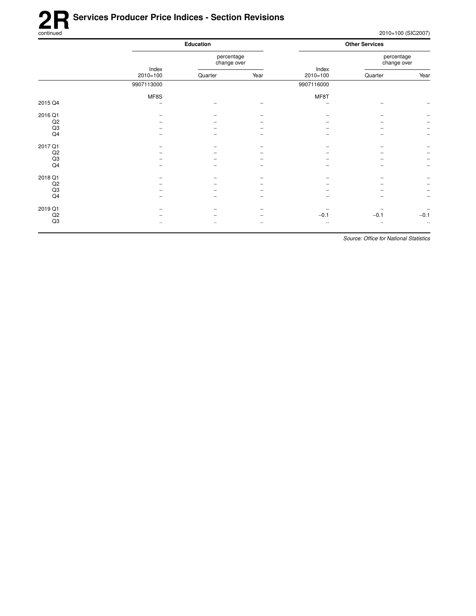## **2R** Services Producer Price Indices - Section Revisions<br>
continued

2010=100 (SIC2007)

|         |                       | Education                 |          |              | <b>Other Services</b>     |                          |  |
|---------|-----------------------|---------------------------|----------|--------------|---------------------------|--------------------------|--|
|         | Index<br>$2010 = 100$ | percentage<br>change over |          | Index        | percentage<br>change over |                          |  |
|         |                       | Quarter                   | Year     | $2010=100$   | Quarter                   | Year                     |  |
|         | 9907113000            |                           |          | 9907116000   |                           |                          |  |
|         | MF8S                  |                           |          | MF8T         |                           |                          |  |
| 2015 Q4 | -                     |                           |          | ۰            |                           |                          |  |
| 2016 Q1 |                       |                           |          |              |                           |                          |  |
| Q2      |                       |                           |          |              |                           |                          |  |
| Q3      |                       |                           |          |              |                           | $\overline{\phantom{a}}$ |  |
| Q4      |                       |                           |          |              |                           | $\overline{\phantom{m}}$ |  |
| 2017 Q1 |                       |                           |          |              |                           |                          |  |
| Q2      |                       |                           |          |              |                           | $\overline{\phantom{m}}$ |  |
| Q3      |                       |                           |          |              |                           | $\overline{\phantom{m}}$ |  |
| Q4      |                       |                           |          |              |                           | $\overline{\phantom{a}}$ |  |
| 2018 Q1 |                       |                           |          |              |                           |                          |  |
| Q2      |                       |                           |          | -            |                           | $\overline{\phantom{a}}$ |  |
| Q3      |                       |                           |          |              |                           | $\overline{\phantom{a}}$ |  |
| Q4      |                       |                           |          |              |                           | $\overline{\phantom{a}}$ |  |
| 2019 Q1 |                       |                           |          |              |                           | $\overline{\phantom{a}}$ |  |
| Q2      |                       |                           | ۰        | $-0.1$       | $-0.1$                    | $-0.1$                   |  |
| Q3      | $\ldots$              | $\cdot$ .                 | $\ldots$ | $\cdot\cdot$ | $\ddotsc$                 | $\ldots$                 |  |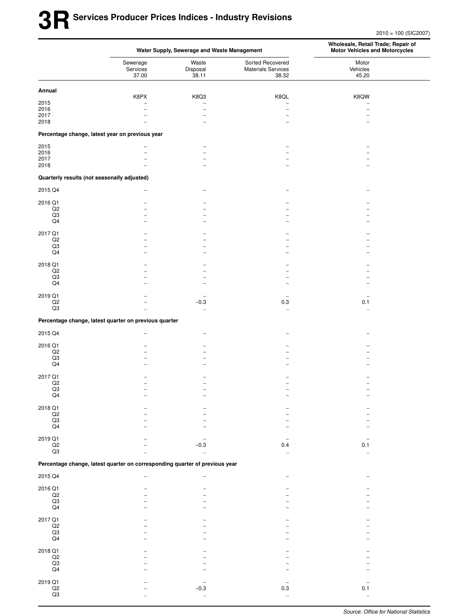2010 = 100 (SIC2007)

|                                |                                                                             | Water Supply, Sewerage and Waste Management | Wholesale, Retail Trade; Repair of<br><b>Motor Vehicles and Motorcycles</b> |                            |  |
|--------------------------------|-----------------------------------------------------------------------------|---------------------------------------------|-----------------------------------------------------------------------------|----------------------------|--|
|                                | Sewerage<br>Services<br>37.00                                               | Waste<br>Disposal<br>38.11                  | Sorted Recovered<br><b>Materials Services</b><br>38.32                      | Motor<br>Vehicles<br>45.20 |  |
| Annual                         |                                                                             |                                             |                                                                             |                            |  |
|                                | K8PX                                                                        | K8Q3                                        | K8QL                                                                        | K8QW                       |  |
| 2015<br>2016                   |                                                                             | $\overline{a}$                              | $\overline{\phantom{0}}$                                                    |                            |  |
| 2017                           |                                                                             | $\overline{\phantom{0}}$                    | $\overline{\phantom{0}}$                                                    |                            |  |
| 2018                           |                                                                             |                                             |                                                                             |                            |  |
|                                | Percentage change, latest year on previous year                             |                                             |                                                                             |                            |  |
| 2015                           |                                                                             |                                             |                                                                             |                            |  |
| 2016<br>2017                   |                                                                             | $\equiv$                                    |                                                                             |                            |  |
| 2018                           |                                                                             |                                             |                                                                             |                            |  |
|                                | Quarterly results (not seasonally adjusted)                                 |                                             |                                                                             |                            |  |
| 2015 Q4                        |                                                                             |                                             |                                                                             |                            |  |
|                                |                                                                             |                                             |                                                                             |                            |  |
| 2016 Q1<br>Q2                  |                                                                             |                                             |                                                                             |                            |  |
| Q3                             |                                                                             |                                             |                                                                             |                            |  |
| Q4                             |                                                                             |                                             |                                                                             |                            |  |
| 2017 Q1                        |                                                                             |                                             |                                                                             |                            |  |
| $_{\mathsf{Q2}}$               |                                                                             |                                             |                                                                             |                            |  |
| Q3<br>Q4                       |                                                                             |                                             |                                                                             |                            |  |
|                                |                                                                             |                                             |                                                                             |                            |  |
| 2018 Q1                        |                                                                             |                                             |                                                                             |                            |  |
| Q2<br>$_{\rm Q3}$              |                                                                             |                                             |                                                                             |                            |  |
| Q4                             |                                                                             |                                             |                                                                             |                            |  |
|                                |                                                                             |                                             |                                                                             |                            |  |
| 2019 Q1<br>Q2                  |                                                                             | $-0.3$                                      | $\overline{a}$<br>0.3                                                       | 0.1                        |  |
| $\overline{Q3}$                | $\ddot{\phantom{a}}$                                                        | $\ddotsc$                                   | $\ddotsc$                                                                   | $\ddotsc$                  |  |
|                                | Percentage change, latest quarter on previous quarter                       |                                             |                                                                             |                            |  |
| 2015 Q4                        |                                                                             |                                             |                                                                             |                            |  |
|                                |                                                                             |                                             |                                                                             |                            |  |
| 2016 Q1                        |                                                                             |                                             |                                                                             |                            |  |
| $_{\mathsf{Q2}}$<br>Q3         |                                                                             |                                             |                                                                             |                            |  |
| Q4                             |                                                                             |                                             |                                                                             |                            |  |
| 2017 Q1                        |                                                                             |                                             |                                                                             |                            |  |
| Q2                             |                                                                             |                                             |                                                                             |                            |  |
| Q3                             |                                                                             |                                             |                                                                             |                            |  |
| Q4                             |                                                                             |                                             |                                                                             |                            |  |
| 2018 Q1                        |                                                                             |                                             |                                                                             |                            |  |
| $\frac{Q2}{Q3}$                |                                                                             |                                             |                                                                             |                            |  |
| $\mathsf{Q4}$                  |                                                                             |                                             |                                                                             |                            |  |
|                                |                                                                             |                                             |                                                                             |                            |  |
| 2019 Q1                        |                                                                             |                                             |                                                                             |                            |  |
| $\mathsf{Q2}$<br>Q3            |                                                                             | $-0.3$                                      | 0.4<br>$\ddot{\phantom{a}}$                                                 | 0.1                        |  |
|                                | Percentage change, latest quarter on corresponding quarter of previous year |                                             |                                                                             |                            |  |
| 2015 Q4                        |                                                                             |                                             |                                                                             |                            |  |
|                                |                                                                             |                                             |                                                                             |                            |  |
| 2016 Q1                        |                                                                             |                                             |                                                                             |                            |  |
| $\mathsf{Q2}$<br>$\mathsf{Q3}$ |                                                                             |                                             |                                                                             |                            |  |
| $\mathsf{Q4}$                  |                                                                             |                                             |                                                                             |                            |  |
| 2017 Q1                        |                                                                             |                                             |                                                                             |                            |  |
|                                |                                                                             |                                             |                                                                             |                            |  |
| $\frac{Q2}{Q3}$                |                                                                             |                                             |                                                                             |                            |  |
| $\mathsf{Q4}$                  |                                                                             |                                             |                                                                             |                            |  |
| 2018 Q1                        |                                                                             |                                             |                                                                             |                            |  |
| $_{\rm Q2}$                    |                                                                             |                                             |                                                                             |                            |  |
| $_{\mathsf{Q4}}^{\mathsf{Q3}}$ |                                                                             |                                             |                                                                             |                            |  |
|                                |                                                                             |                                             |                                                                             |                            |  |
| 2019 Q1                        |                                                                             |                                             |                                                                             |                            |  |
| $_{\mathsf{Q2}}$               |                                                                             | $-0.3$                                      | 0.3                                                                         | 0.1                        |  |
| $\mathsf{Q3}$                  |                                                                             |                                             | $\ddot{\phantom{1}}$                                                        |                            |  |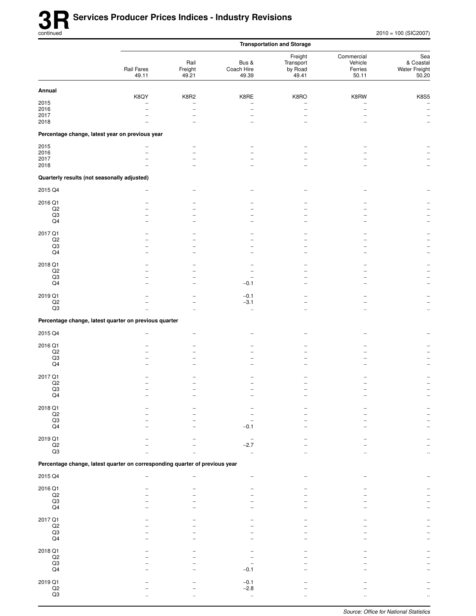|                                             |                                                                             |                                                      |                              | <b>Transportation and Storage</b>        |                                           |                                            |
|---------------------------------------------|-----------------------------------------------------------------------------|------------------------------------------------------|------------------------------|------------------------------------------|-------------------------------------------|--------------------------------------------|
|                                             | Rail Fares<br>49.11                                                         | Rail<br>Freight<br>49.21                             | Bus &<br>Coach Hire<br>49.39 | Freight<br>Transport<br>by Road<br>49.41 | Commercial<br>Vehicle<br>Ferries<br>50.11 | Sea<br>& Coastal<br>Water Freight<br>50.20 |
| Annual                                      |                                                                             |                                                      |                              |                                          |                                           |                                            |
| 2015                                        | K8QY                                                                        | K8R2<br>$\overline{\phantom{a}}$                     | K8RE                         | K8RO                                     | K8RW                                      | <b>K8S5</b><br>$\overline{\phantom{a}}$    |
| 2016                                        | $\overline{\phantom{0}}$                                                    | $\overline{\phantom{0}}$                             | $\overline{\phantom{0}}$     | L.                                       | $\overline{\phantom{0}}$                  | $\overline{\phantom{a}}$                   |
| 2017                                        |                                                                             |                                                      |                              |                                          |                                           | $\qquad \qquad -$                          |
| 2018                                        |                                                                             |                                                      |                              |                                          |                                           |                                            |
|                                             | Percentage change, latest year on previous year                             |                                                      |                              |                                          |                                           |                                            |
| 2015<br>2016                                |                                                                             | $\overline{\phantom{m}}$<br>$\overline{\phantom{a}}$ |                              |                                          |                                           |                                            |
| 2017                                        |                                                                             |                                                      |                              |                                          |                                           |                                            |
| 2018                                        |                                                                             |                                                      |                              |                                          |                                           |                                            |
| Quarterly results (not seasonally adjusted) |                                                                             |                                                      |                              |                                          |                                           |                                            |
| 2015 Q4                                     |                                                                             |                                                      |                              |                                          |                                           |                                            |
| 2016 Q1                                     |                                                                             |                                                      |                              |                                          |                                           |                                            |
| Q2<br>$_{\rm Q3}$                           |                                                                             |                                                      |                              |                                          |                                           |                                            |
| Q4                                          |                                                                             |                                                      |                              |                                          |                                           |                                            |
|                                             |                                                                             |                                                      |                              |                                          |                                           |                                            |
| 2017 Q1<br>$_{\mathsf{Q2}}$                 |                                                                             |                                                      |                              |                                          |                                           |                                            |
| Q3                                          |                                                                             |                                                      |                              |                                          |                                           |                                            |
| $\mathsf{Q4}$                               |                                                                             |                                                      |                              |                                          |                                           |                                            |
| 2018 Q1                                     |                                                                             |                                                      |                              |                                          |                                           |                                            |
| $_{\mathsf{Q2}}$<br>Q3                      |                                                                             | -                                                    |                              |                                          |                                           |                                            |
| Q4                                          |                                                                             | $\overline{\phantom{a}}$                             | $-0.1$                       |                                          |                                           |                                            |
| 2019 Q1                                     |                                                                             |                                                      | $-0.1$                       |                                          |                                           |                                            |
| $_{\mathsf{Q2}}$                            |                                                                             |                                                      | $-3.1$                       |                                          |                                           |                                            |
| Q3                                          |                                                                             |                                                      | $\ddotsc$                    |                                          |                                           | $\ddotsc$                                  |
|                                             | Percentage change, latest quarter on previous quarter                       |                                                      |                              |                                          |                                           |                                            |
| 2015 Q4                                     |                                                                             |                                                      |                              |                                          |                                           |                                            |
| 2016 Q1                                     |                                                                             |                                                      |                              |                                          |                                           |                                            |
| Q2                                          |                                                                             |                                                      |                              |                                          |                                           |                                            |
| Q3                                          |                                                                             |                                                      |                              |                                          |                                           |                                            |
| $\mathsf{Q4}$                               |                                                                             |                                                      |                              |                                          |                                           |                                            |
| 2017 Q1                                     |                                                                             |                                                      |                              |                                          |                                           |                                            |
| $_{\rm Q2}$<br>Q3                           |                                                                             |                                                      |                              |                                          |                                           |                                            |
| Q4                                          |                                                                             |                                                      |                              |                                          |                                           |                                            |
| 2018 Q1                                     |                                                                             |                                                      |                              |                                          |                                           |                                            |
|                                             |                                                                             |                                                      |                              |                                          |                                           |                                            |
| $_{\rm Q3}^{\rm Q2}$                        |                                                                             |                                                      |                              |                                          |                                           |                                            |
| $\mathsf{Q4}$                               |                                                                             |                                                      | $-0.1$                       |                                          |                                           |                                            |
| 2019 Q1                                     |                                                                             |                                                      |                              |                                          |                                           |                                            |
| $_{\mathsf{Q2}}$<br>Q3                      |                                                                             |                                                      | $-2.7$                       |                                          |                                           |                                            |
|                                             | Percentage change, latest quarter on corresponding quarter of previous year |                                                      |                              |                                          |                                           |                                            |
|                                             |                                                                             |                                                      |                              |                                          |                                           |                                            |
| 2015 Q4                                     |                                                                             |                                                      |                              |                                          |                                           |                                            |
| 2016 Q1<br>$\mathsf{Q2}$                    |                                                                             |                                                      |                              |                                          |                                           |                                            |
| $_{\rm Q3}$                                 |                                                                             |                                                      |                              |                                          |                                           |                                            |
| Q4                                          |                                                                             |                                                      |                              |                                          |                                           |                                            |
| 2017 Q1                                     |                                                                             |                                                      |                              |                                          |                                           |                                            |
| $_{\rm Q3}^{\rm Q2}$                        |                                                                             |                                                      |                              |                                          |                                           |                                            |
| $\mathsf{Q4}$                               |                                                                             |                                                      |                              |                                          |                                           |                                            |
|                                             |                                                                             |                                                      |                              |                                          |                                           |                                            |
| 2018 Q1<br>$_{\rm Q2}$                      |                                                                             |                                                      |                              |                                          |                                           |                                            |
| $_{\rm Q3}$                                 |                                                                             |                                                      |                              |                                          |                                           |                                            |
| $\mathsf{Q4}$                               |                                                                             |                                                      | $-0.1$                       |                                          |                                           |                                            |
| 2019 Q1                                     |                                                                             |                                                      | $-0.1$                       |                                          |                                           |                                            |
| $_{\mathsf{Q2}}$<br>$\mathsf{Q3}$           |                                                                             |                                                      | $-2.8$                       |                                          |                                           |                                            |
|                                             |                                                                             |                                                      | $\ddotsc$                    |                                          |                                           |                                            |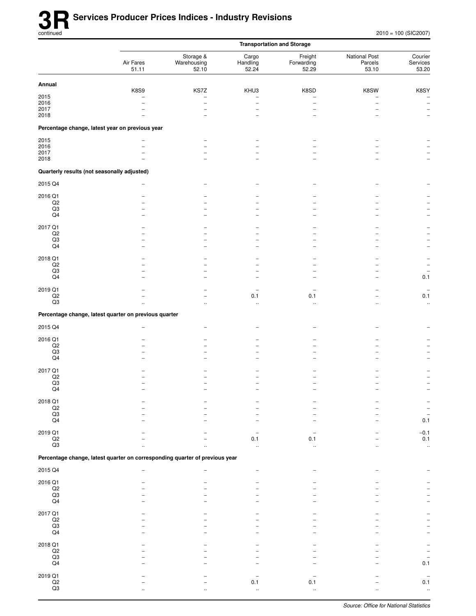|                                             |                                                                             | <b>Transportation and Storage</b> |                            |                                |                                   |                              |  |
|---------------------------------------------|-----------------------------------------------------------------------------|-----------------------------------|----------------------------|--------------------------------|-----------------------------------|------------------------------|--|
|                                             | Air Fares<br>51.11                                                          | Storage &<br>Warehousing<br>52.10 | Cargo<br>Handling<br>52.24 | Freight<br>Forwarding<br>52.29 | National Post<br>Parcels<br>53.10 | Courier<br>Services<br>53.20 |  |
| Annual                                      |                                                                             |                                   |                            |                                |                                   |                              |  |
| 2015                                        | <b>K8S9</b>                                                                 | KS7Z<br>$\overline{\phantom{0}}$  | KHU3                       | K8SD                           | K8SW                              | K8SY                         |  |
| 2016                                        | $\overline{\phantom{a}}$                                                    | $\overline{\phantom{0}}$          | $\overline{\phantom{a}}$   |                                |                                   | $\overline{\phantom{a}}$     |  |
| 2017                                        |                                                                             |                                   |                            |                                |                                   | $\qquad \qquad -$            |  |
| 2018                                        |                                                                             |                                   | $\overline{\phantom{0}}$   | $\overline{\phantom{0}}$       |                                   | $\overline{\phantom{a}}$     |  |
|                                             | Percentage change, latest year on previous year                             |                                   |                            |                                |                                   |                              |  |
| 2015                                        |                                                                             |                                   |                            |                                |                                   |                              |  |
| 2016                                        | L.                                                                          |                                   |                            |                                |                                   |                              |  |
| 2017                                        |                                                                             |                                   |                            |                                |                                   |                              |  |
| 2018                                        |                                                                             |                                   |                            |                                |                                   |                              |  |
| Quarterly results (not seasonally adjusted) |                                                                             |                                   |                            |                                |                                   |                              |  |
| 2015 Q4                                     |                                                                             |                                   |                            |                                |                                   |                              |  |
| 2016 Q1                                     |                                                                             |                                   |                            |                                |                                   |                              |  |
| Q2                                          |                                                                             |                                   |                            |                                |                                   |                              |  |
| Q3                                          |                                                                             |                                   |                            |                                |                                   |                              |  |
| Q4                                          |                                                                             |                                   |                            |                                |                                   |                              |  |
| 2017 Q1                                     |                                                                             |                                   |                            |                                |                                   |                              |  |
| Q <sub>2</sub>                              |                                                                             |                                   |                            |                                |                                   |                              |  |
| Q3                                          |                                                                             |                                   |                            |                                |                                   |                              |  |
| Q4                                          |                                                                             |                                   | $\overline{\phantom{0}}$   |                                |                                   | $\overline{\phantom{a}}$     |  |
| 2018 Q1                                     |                                                                             |                                   |                            |                                |                                   |                              |  |
| $_{\rm Q2}$                                 |                                                                             |                                   |                            |                                |                                   |                              |  |
| Q3                                          |                                                                             |                                   |                            |                                |                                   |                              |  |
| Q4                                          |                                                                             |                                   |                            |                                |                                   | 0.1                          |  |
| 2019 Q1                                     |                                                                             |                                   |                            |                                |                                   |                              |  |
| Q2                                          |                                                                             |                                   | 0.1                        | 0.1                            |                                   | 0.1                          |  |
| $\mathsf{Q3}$                               |                                                                             |                                   | $\ddot{\phantom{a}}$       | $\ldots$                       |                                   | $\ddotsc$                    |  |
|                                             | Percentage change, latest quarter on previous quarter                       |                                   |                            |                                |                                   |                              |  |
| 2015 Q4                                     |                                                                             |                                   |                            |                                |                                   |                              |  |
|                                             |                                                                             |                                   |                            |                                |                                   |                              |  |
| 2016 Q1                                     |                                                                             |                                   |                            |                                |                                   |                              |  |
| Q <sub>2</sub>                              |                                                                             |                                   |                            |                                |                                   |                              |  |
| Q3<br>Q4                                    |                                                                             |                                   |                            |                                |                                   |                              |  |
|                                             |                                                                             |                                   |                            |                                |                                   |                              |  |
| 2017 Q1                                     |                                                                             |                                   |                            |                                |                                   |                              |  |
| $_{\rm Q2}$                                 |                                                                             |                                   |                            |                                |                                   |                              |  |
| Q3<br>Q4                                    |                                                                             |                                   |                            |                                |                                   |                              |  |
|                                             |                                                                             |                                   |                            |                                |                                   |                              |  |
| 2018 Q1                                     |                                                                             |                                   |                            |                                |                                   |                              |  |
| $_{\rm Q2}$                                 |                                                                             |                                   |                            |                                |                                   |                              |  |
| $\mathsf{Q3}$<br>Q4                         |                                                                             |                                   |                            |                                |                                   | 0.1                          |  |
|                                             |                                                                             |                                   |                            |                                |                                   |                              |  |
| 2019 Q1                                     |                                                                             |                                   |                            |                                |                                   | $-0.1$                       |  |
| $_{\rm Q2}$                                 |                                                                             |                                   | 0.1                        | 0.1                            |                                   | 0.1                          |  |
| Q3                                          |                                                                             |                                   |                            |                                |                                   | $\ddot{\phantom{1}}$         |  |
|                                             | Percentage change, latest quarter on corresponding quarter of previous year |                                   |                            |                                |                                   |                              |  |
| 2015 Q4                                     |                                                                             |                                   |                            |                                |                                   |                              |  |
| 2016 Q1                                     |                                                                             |                                   |                            |                                |                                   |                              |  |
| $_{\rm Q2}$                                 |                                                                             |                                   |                            |                                |                                   |                              |  |
| Q3                                          |                                                                             |                                   |                            |                                |                                   |                              |  |
| Q4                                          |                                                                             |                                   |                            |                                |                                   |                              |  |
| 2017 Q1                                     |                                                                             |                                   |                            |                                |                                   |                              |  |
| $_{\rm Q2}$                                 |                                                                             |                                   |                            |                                |                                   |                              |  |
| $\mathsf{Q3}$                               |                                                                             |                                   |                            |                                |                                   |                              |  |
| Q4                                          |                                                                             |                                   |                            |                                |                                   |                              |  |
| 2018 Q1                                     |                                                                             |                                   |                            |                                |                                   |                              |  |
| $_{\rm Q2}$                                 |                                                                             |                                   |                            |                                |                                   |                              |  |
| $_{\rm Q3}$                                 |                                                                             |                                   |                            |                                |                                   |                              |  |
| Q4                                          |                                                                             |                                   |                            |                                |                                   | 0.1                          |  |
| 2019 Q1                                     |                                                                             |                                   |                            |                                |                                   |                              |  |
| $_{\rm Q2}$                                 |                                                                             |                                   | 0.1                        | 0.1                            |                                   | 0.1                          |  |
| $\mathsf{Q3}$                               |                                                                             |                                   | $\ddotsc$                  | $\ddotsc$                      |                                   | $\ddotsc$                    |  |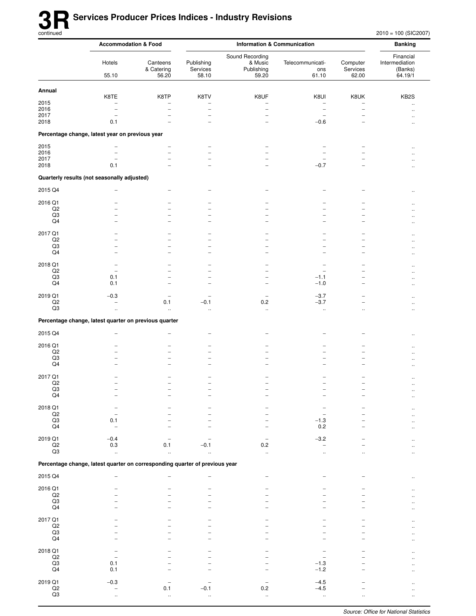$2010 = 100$  (SIC2007)

|                             | <b>Accommodation &amp; Food</b>                                             |                                 | <b>Information &amp; Communication</b> |                                                   |                                                      |                                                      |                                                   |
|-----------------------------|-----------------------------------------------------------------------------|---------------------------------|----------------------------------------|---------------------------------------------------|------------------------------------------------------|------------------------------------------------------|---------------------------------------------------|
|                             | Hotels<br>55.10                                                             | Canteens<br>& Catering<br>56.20 | Publishing<br>Services<br>58.10        | Sound Recording<br>& Music<br>Publishing<br>59.20 | Telecommunicati-<br>ons<br>61.10                     | Computer<br>Services<br>62.00                        | Financial<br>Intermediation<br>(Banks)<br>64.19/1 |
| Annual                      |                                                                             |                                 |                                        |                                                   |                                                      |                                                      |                                                   |
|                             | K8TE                                                                        | K8TP                            | K8TV                                   | K8UF                                              | K8UI                                                 | K8UK                                                 | KB <sub>2</sub> S                                 |
| 2015<br>2016                | $\overline{a}$                                                              | $\overline{\phantom{0}}$        | ۳                                      |                                                   | $\overline{\phantom{0}}$<br>$\overline{\phantom{a}}$ | $\overline{\phantom{0}}$<br>$\overline{\phantom{0}}$ | $\ddotsc$<br>$\ddot{\phantom{a}}$                 |
| 2017                        |                                                                             |                                 |                                        |                                                   | $\overline{\phantom{0}}$                             |                                                      |                                                   |
| 2018                        | 0.1                                                                         |                                 |                                        | -                                                 | $-0.6$                                               |                                                      | $\ddotsc$                                         |
|                             | Percentage change, latest year on previous year                             |                                 |                                        |                                                   |                                                      |                                                      |                                                   |
| 2015                        |                                                                             |                                 |                                        |                                                   |                                                      |                                                      | $\sim$                                            |
| 2016<br>2017                |                                                                             |                                 |                                        |                                                   |                                                      |                                                      |                                                   |
| 2018                        | 0.1                                                                         |                                 |                                        | $\overline{\phantom{0}}$                          | $-0.7$                                               |                                                      |                                                   |
|                             | Quarterly results (not seasonally adjusted)                                 |                                 |                                        |                                                   |                                                      |                                                      |                                                   |
| 2015 Q4                     |                                                                             |                                 |                                        |                                                   |                                                      |                                                      |                                                   |
| 2016 Q1                     |                                                                             |                                 |                                        |                                                   |                                                      |                                                      |                                                   |
| Q2                          |                                                                             |                                 |                                        |                                                   |                                                      |                                                      |                                                   |
| Q3<br>Q4                    |                                                                             | -                               |                                        |                                                   |                                                      |                                                      |                                                   |
| 2017 Q1                     |                                                                             |                                 |                                        |                                                   |                                                      |                                                      |                                                   |
| Q2                          |                                                                             |                                 |                                        |                                                   |                                                      |                                                      |                                                   |
| Q3<br>Q4                    |                                                                             |                                 |                                        | -                                                 |                                                      | $\overline{\phantom{0}}$                             |                                                   |
|                             |                                                                             |                                 |                                        |                                                   |                                                      |                                                      | $\ddot{\phantom{a}}$                              |
| 2018 Q1<br>Q <sub>2</sub>   | $\overline{\phantom{0}}$                                                    |                                 |                                        |                                                   |                                                      |                                                      |                                                   |
| Q3                          | 0.1                                                                         |                                 |                                        | $\overline{\phantom{0}}$                          | $-1.1$                                               | -                                                    |                                                   |
| Q <sub>4</sub>              | 0.1                                                                         |                                 |                                        | $\overline{\phantom{0}}$                          | $-1.0$                                               | -                                                    |                                                   |
| 2019 Q1<br>Q2               | $-0.3$                                                                      | 0.1                             | $-0.1$                                 | $\qquad \qquad -$<br>0.2                          | $-3.7$<br>$-3.7$                                     | -                                                    |                                                   |
| Q3                          | $\mathbf{r}$                                                                | ä,                              | $\ddotsc$                              | $\ddotsc$                                         | $\ddotsc$                                            | $\ddotsc$                                            | $\ddotsc$                                         |
|                             | Percentage change, latest quarter on previous quarter                       |                                 |                                        |                                                   |                                                      |                                                      |                                                   |
| 2015 Q4                     |                                                                             |                                 |                                        |                                                   |                                                      |                                                      |                                                   |
| 2016 Q1                     |                                                                             |                                 |                                        |                                                   |                                                      |                                                      |                                                   |
| Q2                          |                                                                             |                                 |                                        |                                                   |                                                      |                                                      |                                                   |
| Q3<br>Q4                    |                                                                             |                                 |                                        |                                                   |                                                      |                                                      | $\ddot{\phantom{a}}$                              |
|                             |                                                                             |                                 |                                        |                                                   |                                                      |                                                      |                                                   |
| 2017 Q1<br>Q <sub>2</sub>   |                                                                             |                                 |                                        |                                                   |                                                      |                                                      | $\ddotsc$<br>$\ddotsc$                            |
| Q3                          |                                                                             |                                 |                                        |                                                   |                                                      |                                                      |                                                   |
| Q4                          |                                                                             |                                 |                                        |                                                   |                                                      |                                                      | $\ddot{\phantom{0}}$                              |
| 2018 Q1<br>$_{\mathsf{Q2}}$ |                                                                             |                                 |                                        |                                                   |                                                      |                                                      |                                                   |
| $_{\rm Q3}$                 | 0.1                                                                         |                                 |                                        |                                                   | $-1.3$                                               |                                                      |                                                   |
| Q4                          |                                                                             |                                 |                                        |                                                   | 0.2                                                  |                                                      |                                                   |
| 2019 Q1<br>$_{\mathsf{Q2}}$ | $-0.4$                                                                      | 0.1                             |                                        | $0.2\,$                                           | $-3.2$<br>$\overline{\phantom{0}}$                   |                                                      |                                                   |
| Q3                          | 0.3<br>ä.                                                                   |                                 | $-0.1$                                 | ÷.                                                |                                                      |                                                      |                                                   |
|                             | Percentage change, latest quarter on corresponding quarter of previous year |                                 |                                        |                                                   |                                                      |                                                      |                                                   |
| 2015 Q4                     |                                                                             |                                 |                                        | $\overline{\phantom{0}}$                          |                                                      |                                                      |                                                   |
|                             |                                                                             |                                 |                                        |                                                   |                                                      |                                                      |                                                   |
| 2016 Q1<br>$_{\mathsf{Q2}}$ |                                                                             |                                 |                                        |                                                   |                                                      |                                                      |                                                   |
| $_{\rm Q3}$<br>Q4           |                                                                             |                                 |                                        |                                                   |                                                      |                                                      |                                                   |
|                             |                                                                             |                                 |                                        |                                                   |                                                      |                                                      |                                                   |
| 2017 Q1<br>$_{\mathsf{Q2}}$ |                                                                             |                                 |                                        |                                                   |                                                      |                                                      |                                                   |
| Q3                          |                                                                             |                                 |                                        |                                                   |                                                      |                                                      |                                                   |
| $\mathsf{Q4}$               |                                                                             |                                 |                                        |                                                   |                                                      |                                                      |                                                   |
| 2018 Q1<br>$_{\mathsf{Q2}}$ |                                                                             |                                 |                                        |                                                   |                                                      |                                                      |                                                   |
| Q3                          | 0.1                                                                         |                                 |                                        |                                                   | $-1.3$                                               |                                                      |                                                   |
| $\mathsf{Q4}$               | 0.1                                                                         |                                 |                                        |                                                   | $-1.2$                                               |                                                      |                                                   |
| 2019 Q1                     | $-0.3$                                                                      |                                 |                                        |                                                   | $-4.5$                                               |                                                      |                                                   |
| $\frac{Q2}{Q3}$             | $\ddotsc$                                                                   | 0.1<br>$\ddot{\phantom{1}}$     | $-0.1$<br>$\mathbf{r}$                 | $0.2\,$<br>$\ddotsc$                              | $-4.5$<br>$\ddotsc$                                  | $\ddotsc$                                            | $\ddotsc$                                         |
|                             |                                                                             |                                 |                                        |                                                   |                                                      |                                                      |                                                   |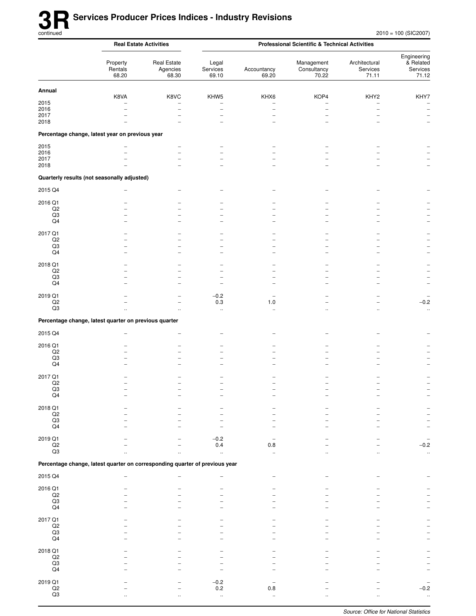|                                | <b>Real Estate Activities</b>                                               |                                                      | <b>Professional Scientific &amp; Technical Activities</b> |                               |                                    |                                    |                                                      |  |
|--------------------------------|-----------------------------------------------------------------------------|------------------------------------------------------|-----------------------------------------------------------|-------------------------------|------------------------------------|------------------------------------|------------------------------------------------------|--|
|                                | Property<br>Rentals<br>68.20                                                | <b>Real Estate</b><br>Agencies<br>68.30              | Legal<br>Services<br>69.10                                | Accountancy<br>69.20          | Management<br>Consultancy<br>70.22 | Architectural<br>Services<br>71.11 | Engineering<br>& Related<br>Services<br>71.12        |  |
| Annual                         |                                                                             |                                                      |                                                           |                               |                                    |                                    |                                                      |  |
| 2015                           | K8VA                                                                        | K8VC                                                 | KHW5<br>$\overline{\phantom{0}}$                          | KHX6                          | KOP4                               | KHY2<br>-                          | KHY7<br>$\overline{\phantom{m}}$                     |  |
| 2016<br>2017                   |                                                                             | $\overline{\phantom{0}}$<br>$\overline{\phantom{0}}$ | $\overline{\phantom{0}}$<br>$\overline{\phantom{0}}$      | $\overline{\phantom{0}}$<br>- | $\overline{\phantom{0}}$<br>-      |                                    | $\overline{\phantom{m}}$                             |  |
| 2018                           |                                                                             |                                                      | $\equiv$                                                  |                               |                                    |                                    | $\overline{\phantom{a}}$<br>$\overline{\phantom{m}}$ |  |
|                                | Percentage change, latest year on previous year                             |                                                      |                                                           |                               |                                    |                                    |                                                      |  |
| 2015                           |                                                                             |                                                      |                                                           |                               |                                    |                                    |                                                      |  |
| 2016<br>2017                   |                                                                             |                                                      |                                                           |                               |                                    |                                    |                                                      |  |
| 2018                           |                                                                             |                                                      |                                                           |                               |                                    |                                    | $\overline{\phantom{a}}$                             |  |
|                                | Quarterly results (not seasonally adjusted)                                 |                                                      |                                                           |                               |                                    |                                    |                                                      |  |
| 2015 Q4                        |                                                                             |                                                      |                                                           |                               |                                    |                                    |                                                      |  |
| 2016 Q1                        |                                                                             |                                                      |                                                           |                               |                                    |                                    |                                                      |  |
| Q <sub>2</sub>                 |                                                                             |                                                      |                                                           |                               |                                    |                                    |                                                      |  |
| $_{\rm Q3}$<br>Q4              |                                                                             |                                                      |                                                           |                               |                                    |                                    |                                                      |  |
| 2017 Q1                        |                                                                             |                                                      |                                                           |                               |                                    |                                    |                                                      |  |
| $_{\rm Q2}$                    |                                                                             |                                                      |                                                           |                               |                                    |                                    |                                                      |  |
| Q3<br>Q4                       |                                                                             |                                                      | -                                                         |                               |                                    |                                    |                                                      |  |
|                                |                                                                             |                                                      |                                                           |                               |                                    |                                    |                                                      |  |
| 2018 Q1<br>Q2                  |                                                                             |                                                      |                                                           |                               |                                    |                                    |                                                      |  |
| Q3<br>Q4                       |                                                                             |                                                      |                                                           |                               |                                    |                                    |                                                      |  |
|                                |                                                                             |                                                      |                                                           |                               |                                    |                                    | $\overline{\phantom{0}}$                             |  |
| 2019 Q1<br>Q <sub>2</sub>      |                                                                             | $\equiv$                                             | $-0.2$<br>0.3                                             | 1.0                           |                                    |                                    | $-0.2$                                               |  |
| Q3                             | $\ddot{\phantom{a}}$                                                        | $\ddot{\phantom{a}}$                                 | $\ddot{\phantom{a}}$                                      | $\ddotsc$                     | $\ddot{\phantom{a}}$               | $\ddot{\phantom{a}}$               | $\ddotsc$                                            |  |
|                                | Percentage change, latest quarter on previous quarter                       |                                                      |                                                           |                               |                                    |                                    |                                                      |  |
| 2015 Q4                        |                                                                             |                                                      |                                                           |                               |                                    |                                    |                                                      |  |
|                                |                                                                             |                                                      |                                                           |                               |                                    |                                    |                                                      |  |
| 2016 Q1<br>$_{\mathsf{Q2}}$    |                                                                             |                                                      |                                                           |                               |                                    |                                    |                                                      |  |
| Q3<br>Q4                       |                                                                             |                                                      |                                                           |                               |                                    |                                    |                                                      |  |
|                                |                                                                             |                                                      |                                                           |                               |                                    |                                    |                                                      |  |
| 2017 Q1<br>Q2                  |                                                                             |                                                      |                                                           |                               |                                    |                                    |                                                      |  |
| Q3                             |                                                                             |                                                      |                                                           |                               |                                    |                                    |                                                      |  |
| $\mathsf{Q4}$                  |                                                                             |                                                      |                                                           |                               |                                    |                                    |                                                      |  |
| 2018 Q1<br>Q2                  |                                                                             |                                                      |                                                           |                               |                                    |                                    |                                                      |  |
| $\mathsf{Q3}$                  |                                                                             |                                                      |                                                           |                               |                                    |                                    |                                                      |  |
| Q4                             |                                                                             |                                                      |                                                           |                               |                                    |                                    |                                                      |  |
| 2019 Q1                        |                                                                             |                                                      | $-0.2$                                                    |                               |                                    |                                    |                                                      |  |
| $_{\mathsf{Q2}}$<br>Q3         |                                                                             |                                                      | 0.4<br>$\ddot{\phantom{a}}$                               | 0.8<br>$\ddotsc$              |                                    |                                    | $-0.2$<br>$\ldots$                                   |  |
|                                | Percentage change, latest quarter on corresponding quarter of previous year |                                                      |                                                           |                               |                                    |                                    |                                                      |  |
| 2015 Q4                        |                                                                             |                                                      |                                                           |                               |                                    |                                    |                                                      |  |
|                                |                                                                             |                                                      |                                                           |                               |                                    |                                    |                                                      |  |
| 2016 Q1<br>Q2                  |                                                                             |                                                      |                                                           |                               |                                    |                                    |                                                      |  |
| $\rm Q3$                       |                                                                             |                                                      |                                                           |                               |                                    |                                    |                                                      |  |
| Q4                             |                                                                             |                                                      |                                                           |                               |                                    |                                    |                                                      |  |
| 2017 Q1<br>Q2                  |                                                                             |                                                      |                                                           |                               |                                    |                                    |                                                      |  |
| $_{\rm Q3}$                    |                                                                             |                                                      |                                                           |                               |                                    |                                    |                                                      |  |
| Q4                             |                                                                             |                                                      |                                                           |                               |                                    |                                    |                                                      |  |
| 2018 Q1                        |                                                                             |                                                      |                                                           |                               |                                    |                                    |                                                      |  |
| $_{\mathsf{Q2}}$<br>Q3         |                                                                             |                                                      |                                                           |                               |                                    |                                    |                                                      |  |
| Q4                             |                                                                             |                                                      |                                                           |                               |                                    |                                    |                                                      |  |
| 2019 Q1                        |                                                                             |                                                      | $-0.2$                                                    |                               |                                    |                                    |                                                      |  |
| $\mathsf{Q2}$<br>$\mathsf{Q3}$ |                                                                             |                                                      | 0.2<br>$\bar{\mathbf{r}}$                                 | 0.8<br>$\ddot{\phantom{1}}$   |                                    |                                    | $-0.2$                                               |  |
|                                |                                                                             |                                                      |                                                           |                               |                                    |                                    |                                                      |  |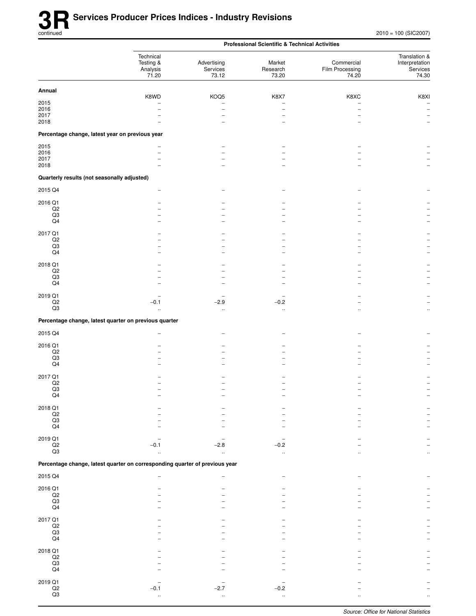|                                                 |                                                                             |                                  | <b>Professional Scientific &amp; Technical Activities</b> |                                        |                                                      |
|-------------------------------------------------|-----------------------------------------------------------------------------|----------------------------------|-----------------------------------------------------------|----------------------------------------|------------------------------------------------------|
|                                                 | Technical<br>Testing &<br>Analysis<br>71.20                                 | Advertising<br>Services<br>73.12 | Market<br>Research<br>73.20                               | Commercial<br>Film Processing<br>74.20 | Translation &<br>Interpretation<br>Services<br>74.30 |
| Annual                                          |                                                                             |                                  |                                                           |                                        |                                                      |
| 2015                                            | K8WD                                                                        | KOQ5                             | K8X7                                                      | K8XC                                   | K8XI<br>$\overline{\phantom{0}}$                     |
| 2016                                            | -                                                                           | $\overline{\phantom{0}}$         |                                                           | $\qquad \qquad -$                      | $\overline{\phantom{0}}$                             |
| 2017<br>2018                                    |                                                                             |                                  |                                                           |                                        |                                                      |
| Percentage change, latest year on previous year |                                                                             |                                  |                                                           |                                        |                                                      |
| 2015                                            |                                                                             |                                  |                                                           |                                        |                                                      |
| 2016<br>2017                                    | ۳                                                                           |                                  |                                                           |                                        |                                                      |
| 2018                                            |                                                                             |                                  |                                                           |                                        |                                                      |
| Quarterly results (not seasonally adjusted)     |                                                                             |                                  |                                                           |                                        |                                                      |
| 2015 Q4                                         |                                                                             |                                  |                                                           |                                        |                                                      |
| 2016 Q1                                         |                                                                             |                                  |                                                           |                                        |                                                      |
| Q2<br>Q3                                        |                                                                             |                                  |                                                           |                                        |                                                      |
| Q4                                              |                                                                             |                                  |                                                           |                                        |                                                      |
| 2017 Q1                                         |                                                                             |                                  |                                                           |                                        |                                                      |
| Q2<br>Q3                                        |                                                                             |                                  |                                                           |                                        |                                                      |
| Q4                                              |                                                                             |                                  |                                                           |                                        |                                                      |
| 2018 Q1                                         |                                                                             |                                  |                                                           |                                        |                                                      |
| Q2<br>Q3                                        |                                                                             |                                  |                                                           |                                        |                                                      |
| Q <sub>4</sub>                                  |                                                                             |                                  |                                                           |                                        |                                                      |
| 2019 Q1                                         |                                                                             |                                  |                                                           |                                        |                                                      |
| Q2<br>Q3                                        | $-0.1$<br>$\ddotsc$                                                         | $-2.9$<br>$\ddotsc$              | $-0.2$<br>$\ddotsc$                                       | $\ddotsc$                              | $\ddotsc$                                            |
|                                                 | Percentage change, latest quarter on previous quarter                       |                                  |                                                           |                                        |                                                      |
| 2015 Q4                                         | -                                                                           |                                  |                                                           |                                        |                                                      |
|                                                 |                                                                             |                                  |                                                           |                                        |                                                      |
| 2016 Q1<br>Q2                                   |                                                                             |                                  |                                                           |                                        |                                                      |
| Q3<br>Q <sub>4</sub>                            |                                                                             |                                  |                                                           |                                        |                                                      |
|                                                 |                                                                             |                                  |                                                           |                                        |                                                      |
| 2017 Q1<br>Q2                                   |                                                                             |                                  |                                                           |                                        |                                                      |
| Q3                                              |                                                                             |                                  |                                                           |                                        |                                                      |
| Q <sub>4</sub>                                  |                                                                             |                                  |                                                           |                                        |                                                      |
| 2018 Q1                                         |                                                                             |                                  |                                                           |                                        |                                                      |
| $_{\rm Q3}^{\rm Q2}$                            |                                                                             |                                  |                                                           |                                        |                                                      |
| $\mathsf{Q4}$                                   |                                                                             |                                  |                                                           |                                        |                                                      |
| 2019 Q1<br>$\mathsf{Q2}$                        | $-0.1$                                                                      | $-2.8$                           | $-0.2$                                                    |                                        |                                                      |
| Q3                                              |                                                                             |                                  | $\ddot{\phantom{a}}$                                      |                                        |                                                      |
|                                                 | Percentage change, latest quarter on corresponding quarter of previous year |                                  |                                                           |                                        |                                                      |
| 2015 Q4                                         |                                                                             |                                  |                                                           |                                        |                                                      |
| 2016 Q1                                         |                                                                             |                                  |                                                           |                                        |                                                      |
| $\mathsf{Q2}$<br>$\mathsf{Q3}$                  |                                                                             |                                  |                                                           |                                        |                                                      |
| Q4                                              |                                                                             |                                  |                                                           |                                        |                                                      |
| 2017 Q1                                         |                                                                             |                                  |                                                           |                                        |                                                      |
| $_{\rm Q3}^{\rm Q2}$                            |                                                                             |                                  |                                                           |                                        |                                                      |
| Q <sub>4</sub>                                  |                                                                             |                                  |                                                           |                                        |                                                      |
| 2018 Q1                                         |                                                                             |                                  |                                                           |                                        |                                                      |
| $\mathsf{Q2}$                                   |                                                                             |                                  |                                                           |                                        |                                                      |
| $_{\mathsf{Q4}}^{\mathsf{Q3}}$                  |                                                                             |                                  |                                                           |                                        |                                                      |
| 2019 Q1                                         |                                                                             |                                  |                                                           |                                        |                                                      |
| $\mathsf{Q2}$                                   | $-0.1$                                                                      | $-2.7$                           | $-0.2$                                                    |                                        |                                                      |
| $\mathsf{Q3}$                                   | $\ddotsc$                                                                   |                                  |                                                           |                                        |                                                      |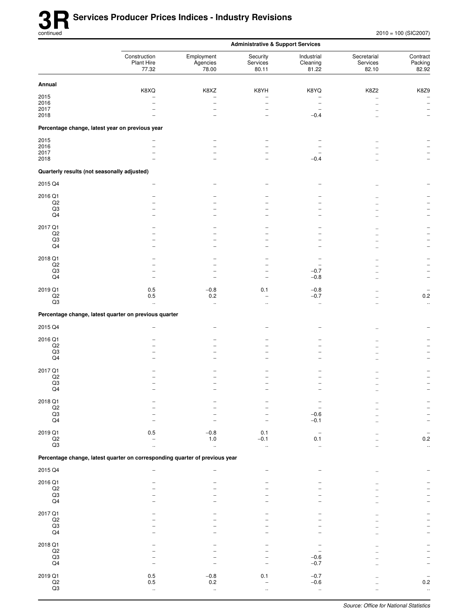|                                             |                                                                             | <b>Administrative &amp; Support Services</b>                      |                                                                   |                                              |                                  |                                                       |
|---------------------------------------------|-----------------------------------------------------------------------------|-------------------------------------------------------------------|-------------------------------------------------------------------|----------------------------------------------|----------------------------------|-------------------------------------------------------|
|                                             | Construction<br>Plant Hire<br>77.32                                         | Employment<br>Agencies<br>78.00                                   | Security<br>Services<br>80.11                                     | Industrial<br>Cleaning<br>81.22              | Secretarial<br>Services<br>82.10 | Contract<br>Packing<br>82.92                          |
| Annual                                      |                                                                             |                                                                   |                                                                   |                                              |                                  |                                                       |
| 2015<br>2016<br>2017<br>2018                | K8XQ<br>$\overline{\phantom{0}}$                                            | K8XZ<br>$\overline{\phantom{0}}$<br>-<br>$\overline{\phantom{a}}$ | K8YH<br>$\overline{\phantom{0}}$<br>-<br>$\overline{\phantom{0}}$ | K8YQ<br>-<br>$-0.4$                          | K8Z2<br>$\mathbf{r}$             | K8Z9<br>$\qquad \qquad -$<br>$\overline{\phantom{a}}$ |
|                                             | Percentage change, latest year on previous year                             |                                                                   |                                                                   |                                              |                                  |                                                       |
| 2015<br>2016<br>2017<br>2018                | ۳                                                                           | $\equiv$                                                          | ۳                                                                 | $-0.4$                                       |                                  |                                                       |
| Quarterly results (not seasonally adjusted) |                                                                             |                                                                   |                                                                   |                                              |                                  |                                                       |
| 2015 Q4                                     |                                                                             |                                                                   |                                                                   |                                              |                                  |                                                       |
| 2016 Q1<br>$_{\rm Q2}$<br>Q3<br>Q4          |                                                                             |                                                                   |                                                                   | $\overline{a}$                               |                                  |                                                       |
| 2017 Q1<br>Q2<br>Q3<br>Q4                   | -<br>۳                                                                      | $\overline{\phantom{0}}$                                          | -<br>-                                                            | -<br>$\overline{\phantom{0}}$                |                                  | $\overline{\phantom{0}}$                              |
| 2018 Q1<br>Q2<br>Q3<br>Q4                   | -<br>$\overline{a}$                                                         | -                                                                 | $\overline{\phantom{0}}$<br>$\overline{\phantom{0}}$              | $-0.7$<br>$-0.8$                             |                                  | ۰                                                     |
| 2019 Q1<br>$_{\rm Q2}$<br>Q3                | $0.5\,$<br>$0.5\,$<br>$\ddotsc$                                             | $-0.8$<br>$0.2\,$<br>$\ddotsc$                                    | 0.1<br>$\overline{a}$<br>$\ddot{\phantom{0}}$                     | $-0.8$<br>$-0.7$<br>$\ddotsc$                |                                  | $0.2\,$<br>$\ddot{\phantom{1}}$                       |
|                                             | Percentage change, latest quarter on previous quarter                       |                                                                   |                                                                   |                                              |                                  |                                                       |
| 2015 Q4                                     |                                                                             |                                                                   |                                                                   |                                              |                                  |                                                       |
| 2016 Q1<br>Q2<br>Q3<br>Q4                   |                                                                             |                                                                   | -                                                                 | ۰                                            |                                  |                                                       |
| 2017 Q1<br>Q2<br>Q3<br>Q4                   |                                                                             |                                                                   |                                                                   |                                              |                                  |                                                       |
| 2018 Q1<br>$_{\rm Q2}$<br>$_{\rm Q3}$<br>Q4 |                                                                             |                                                                   |                                                                   | $-0.6$<br>$-0.1$                             |                                  |                                                       |
| 2019 Q1<br>$_{\rm Q2}$<br>$_{\rm Q3}$       | 0.5                                                                         | $-0.8$<br>$1.0\,$<br>$\ddotsc$                                    | 0.1<br>$-0.1$<br>ă,                                               | $\overline{\phantom{a}}$<br>0.1<br>$\ddotsc$ |                                  | $0.2\,$<br>$\ddotsc$                                  |
|                                             | Percentage change, latest quarter on corresponding quarter of previous year |                                                                   |                                                                   |                                              |                                  |                                                       |
| 2015 Q4                                     |                                                                             |                                                                   |                                                                   |                                              |                                  |                                                       |
| 2016 Q1<br>Q2<br>$_{\rm Q3}$<br>Q4          |                                                                             |                                                                   |                                                                   |                                              |                                  |                                                       |
| 2017 Q1<br>$_{\rm Q2}$<br>$_{\rm Q3}$<br>Q4 |                                                                             |                                                                   |                                                                   |                                              |                                  |                                                       |
| 2018 Q1<br>$_{\rm Q2}$<br>Q3<br>Q4          |                                                                             |                                                                   |                                                                   | $-0.6$<br>$-0.7$                             |                                  |                                                       |
| 2019 Q1<br>$_{\rm Q2}$<br>Q3                | 0.5<br>0.5<br>$\ddotsc$                                                     | $-0.8$<br>0.2<br>$\ddotsc$                                        | 0.1                                                               | $-0.7$<br>$-0.6$<br>$\ddotsc$                | $\ddot{\phantom{a}}$             | 0.2<br>$\sim$                                         |